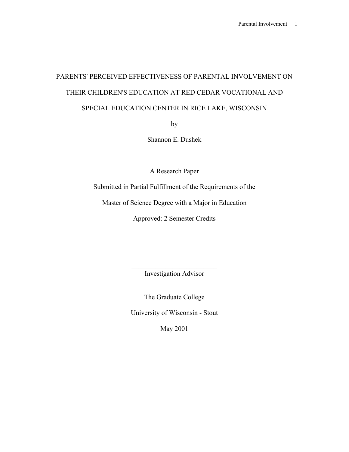# PARENTS' PERCEIVED EFFECTIVENESS OF PARENTAL INVOLVEMENT ON THEIR CHILDREN'S EDUCATION AT RED CEDAR VOCATIONAL AND SPECIAL EDUCATION CENTER IN RICE LAKE, WISCONSIN

by

Shannon E. Dushek

A Research Paper

Submitted in Partial Fulfillment of the Requirements of the

Master of Science Degree with a Major in Education

Approved: 2 Semester Credits

 $\mathcal{L}_\text{max}$ Investigation Advisor

The Graduate College

University of Wisconsin - Stout

May 2001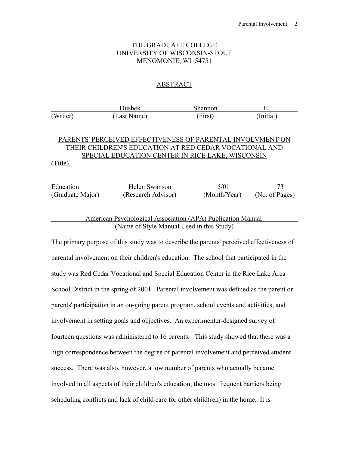# THE GRADUATE COLLEGE UNIVERSITY OF WISCONSIN-STOUT MENOMONIE, WI 54751

# ABSTRACT

**Dushek Shannon** E. (Writer) (Last Name) (First) (Initial) PARENTS' PERCEIVED EFFECTIVENESS OF PARENTAL INVOLVMENT ON THEIR CHILDREN'S EDUCATION AT RED CEDAR VOCATIONAL AND SPECIAL EDUCATION CENTER IN RICE LAKE, WISCONSIN (Title) Education Helen Swanson 5/01 73 (Graduate Major) (Research Advisor) (Month/Year) (No. of Pages)

## American Psychological Association (APA) Publication Manual (Name of Style Manual Used in this Study)

The primary purpose of this study was to describe the parents' perceived effectiveness of parental involvement on their children's education. The school that participated in the study was Red Cedar Vocational and Special Education Center in the Rice Lake Area School District in the spring of 2001. Parental involvement was defined as the parent or parents' participation in an on-going parent program, school events and activities, and involvement in setting goals and objectives. An experimenter-designed survey of fourteen questions was administered to 16 parents. This study showed that there was a high correspondence between the degree of parental involvement and perceived student success. There was also, however, a low number of parents who actually became involved in all aspects of their children's education; the most frequent barriers being scheduling conflicts and lack of child care for other child(ren) in the home. It is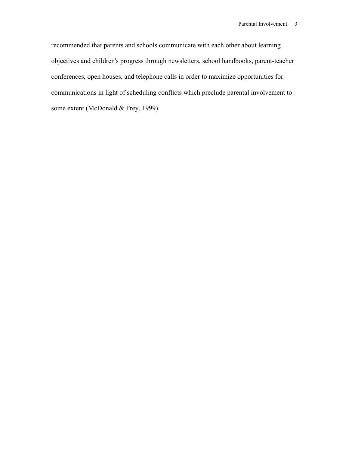recommended that parents and schools communicate with each other about learning objectives and children's progress through newsletters, school handbooks, parent-teacher conferences, open houses, and telephone calls in order to maximize opportunities for communications in light of scheduling conflicts which preclude parental involvement to some extent (McDonald & Frey, 1999).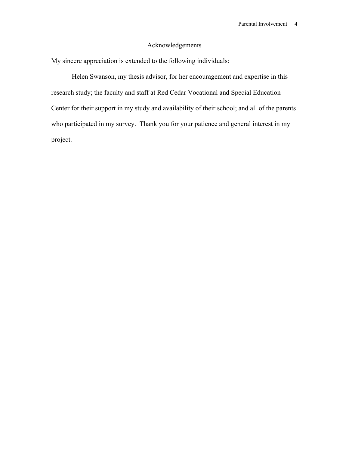# Acknowledgements

My sincere appreciation is extended to the following individuals:

 Helen Swanson, my thesis advisor, for her encouragement and expertise in this research study; the faculty and staff at Red Cedar Vocational and Special Education Center for their support in my study and availability of their school; and all of the parents who participated in my survey. Thank you for your patience and general interest in my project.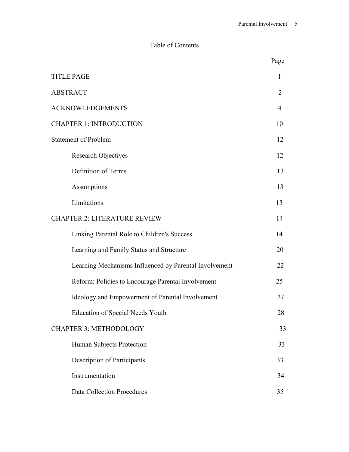# Table of Contents

|                                                        | Page           |
|--------------------------------------------------------|----------------|
| <b>TITLE PAGE</b>                                      | 1              |
| <b>ABSTRACT</b>                                        | $\overline{2}$ |
| <b>ACKNOWLEDGEMENTS</b>                                | 4              |
| <b>CHAPTER 1: INTRODUCTION</b>                         | 10             |
| <b>Statement of Problem</b>                            | 12             |
| <b>Research Objectives</b>                             | 12             |
| Definition of Terms                                    | 13             |
| Assumptions                                            | 13             |
| Limitations                                            | 13             |
| <b>CHAPTER 2: LITERATURE REVIEW</b>                    | 14             |
| Linking Parental Role to Children's Success            | 14             |
| Learning and Family Status and Structure               | 20             |
| Learning Mechanisms Influenced by Parental Involvement | 22             |
| Reform: Policies to Encourage Parental Involvement     | 25             |
| Ideology and Empowerment of Parental Involvement       | 27             |
| <b>Education of Special Needs Youth</b>                | 28             |
| <b>CHAPTER 3: METHODOLOGY</b>                          | 33             |
| Human Subjects Protection                              | 33             |
| <b>Description of Participants</b>                     | 33             |
| Instrumentation                                        | 34             |
| <b>Data Collection Procedures</b>                      | 35             |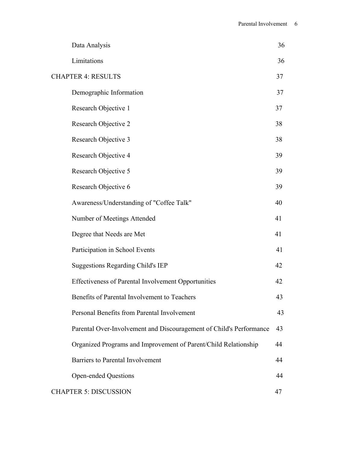| Data Analysis                                                       | 36 |
|---------------------------------------------------------------------|----|
| Limitations                                                         | 36 |
| <b>CHAPTER 4: RESULTS</b>                                           | 37 |
| Demographic Information                                             | 37 |
| Research Objective 1                                                | 37 |
| Research Objective 2                                                | 38 |
| Research Objective 3                                                | 38 |
| Research Objective 4                                                | 39 |
| Research Objective 5                                                | 39 |
| Research Objective 6                                                | 39 |
| Awareness/Understanding of "Coffee Talk"                            | 40 |
| Number of Meetings Attended                                         | 41 |
| Degree that Needs are Met                                           | 41 |
| Participation in School Events                                      | 41 |
| <b>Suggestions Regarding Child's IEP</b>                            | 42 |
| Effectiveness of Parental Involvement Opportunities                 | 42 |
| Benefits of Parental Involvement to Teachers                        | 43 |
| Personal Benefits from Parental Involvement                         | 43 |
| Parental Over-Involvement and Discouragement of Child's Performance | 43 |
| Organized Programs and Improvement of Parent/Child Relationship     | 44 |
| Barriers to Parental Involvement                                    | 44 |
| <b>Open-ended Questions</b>                                         | 44 |
| <b>CHAPTER 5: DISCUSSION</b>                                        | 47 |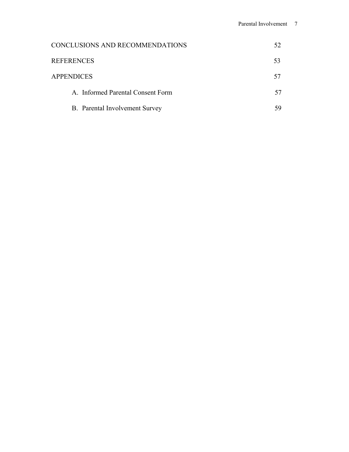| CONCLUSIONS AND RECOMMENDATIONS   | 52. |
|-----------------------------------|-----|
| <b>REFERENCES</b>                 | 53  |
| <b>APPENDICES</b>                 | 57  |
| A. Informed Parental Consent Form | 57  |
| B. Parental Involvement Survey    | 59  |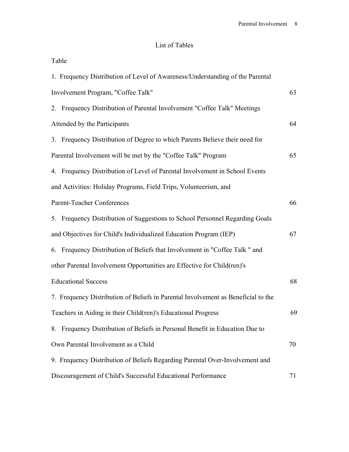# List of Tables

| Table                                                                             |    |
|-----------------------------------------------------------------------------------|----|
| 1. Frequency Distribution of Level of Awareness/Understanding of the Parental     |    |
| Involvement Program, "Coffee Talk"                                                | 63 |
| 2. Frequency Distribution of Parental Involvement "Coffee Talk" Meetings          |    |
| Attended by the Participants                                                      | 64 |
| 3. Frequency Distribution of Degree to which Parents Believe their need for       |    |
| Parental Involvement will be met by the "Coffee Talk" Program                     | 65 |
| 4. Frequency Distribution of Level of Parental Involvement in School Events       |    |
| and Activities: Holiday Programs, Field Trips, Volunteerism, and                  |    |
| Parent-Teacher Conferences                                                        | 66 |
| 5. Frequency Distribution of Suggestions to School Personnel Regarding Goals      |    |
| and Objectives for Child's Individualized Education Program (IEP)                 | 67 |
| 6. Frequency Distribution of Beliefs that Involvement in "Coffee Talk" and        |    |
| other Parental Involvement Opportunities are Effective for Child(ren)'s           |    |
| <b>Educational Success</b>                                                        | 68 |
| 7. Frequency Distribution of Beliefs in Parental Involvement as Beneficial to the |    |
| Teachers in Aiding in their Child(ren)'s Educational Progress                     | 69 |
| 8. Frequency Distribution of Beliefs in Personal Benefit in Education Due to      |    |
| Own Parental Involvement as a Child                                               | 70 |
| 9. Frequency Distribution of Beliefs Regarding Parental Over-Involvement and      |    |
| Discouragement of Child's Successful Educational Performance                      | 71 |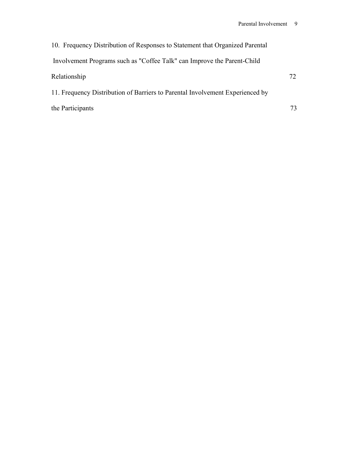| 10. Frequency Distribution of Responses to Statement that Organized Parental  |     |
|-------------------------------------------------------------------------------|-----|
| Involvement Programs such as "Coffee Talk" can Improve the Parent-Child       |     |
| Relationship                                                                  | 72. |
| 11. Frequency Distribution of Barriers to Parental Involvement Experienced by |     |
| the Participants                                                              | 73  |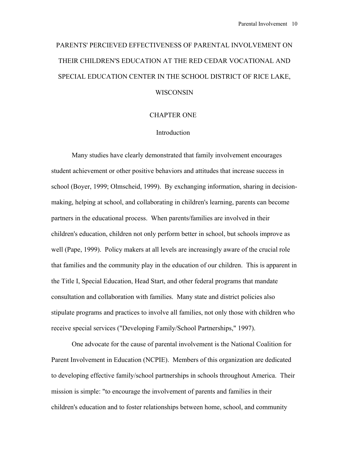# PARENTS' PERCIEVED EFFECTIVENESS OF PARENTAL INVOLVEMENT ON THEIR CHILDREN'S EDUCATION AT THE RED CEDAR VOCATIONAL AND SPECIAL EDUCATION CENTER IN THE SCHOOL DISTRICT OF RICE LAKE, WISCONSIN

#### CHAPTER ONE

#### Introduction

Many studies have clearly demonstrated that family involvement encourages student achievement or other positive behaviors and attitudes that increase success in school (Boyer, 1999; Olmscheid, 1999). By exchanging information, sharing in decisionmaking, helping at school, and collaborating in children's learning, parents can become partners in the educational process. When parents/families are involved in their children's education, children not only perform better in school, but schools improve as well (Pape, 1999). Policy makers at all levels are increasingly aware of the crucial role that families and the community play in the education of our children. This is apparent in the Title I, Special Education, Head Start, and other federal programs that mandate consultation and collaboration with families. Many state and district policies also stipulate programs and practices to involve all families, not only those with children who receive special services ("Developing Family/School Partnerships," 1997).

 One advocate for the cause of parental involvement is the National Coalition for Parent Involvement in Education (NCPIE). Members of this organization are dedicated to developing effective family/school partnerships in schools throughout America. Their mission is simple: "to encourage the involvement of parents and families in their children's education and to foster relationships between home, school, and community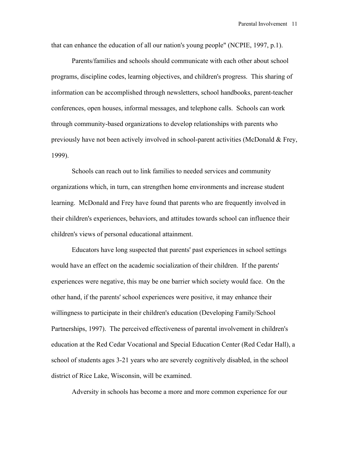that can enhance the education of all our nation's young people" (NCPIE, 1997, p.1).

 Parents/families and schools should communicate with each other about school programs, discipline codes, learning objectives, and children's progress. This sharing of information can be accomplished through newsletters, school handbooks, parent-teacher conferences, open houses, informal messages, and telephone calls. Schools can work through community-based organizations to develop relationships with parents who previously have not been actively involved in school-parent activities (McDonald & Frey, 1999).

 Schools can reach out to link families to needed services and community organizations which, in turn, can strengthen home environments and increase student learning. McDonald and Frey have found that parents who are frequently involved in their children's experiences, behaviors, and attitudes towards school can influence their children's views of personal educational attainment.

 Educators have long suspected that parents' past experiences in school settings would have an effect on the academic socialization of their children. If the parents' experiences were negative, this may be one barrier which society would face. On the other hand, if the parents' school experiences were positive, it may enhance their willingness to participate in their children's education (Developing Family/School Partnerships, 1997). The perceived effectiveness of parental involvement in children's education at the Red Cedar Vocational and Special Education Center (Red Cedar Hall), a school of students ages 3-21 years who are severely cognitively disabled, in the school district of Rice Lake, Wisconsin, will be examined.

Adversity in schools has become a more and more common experience for our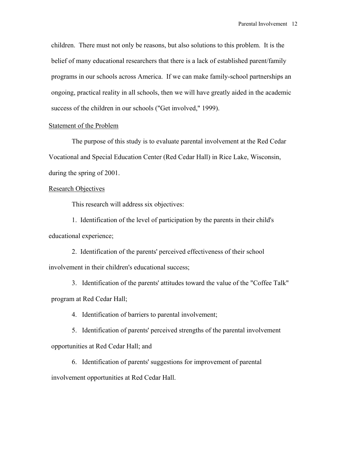children. There must not only be reasons, but also solutions to this problem. It is the belief of many educational researchers that there is a lack of established parent/family programs in our schools across America. If we can make family-school partnerships an ongoing, practical reality in all schools, then we will have greatly aided in the academic success of the children in our schools ("Get involved," 1999).

#### Statement of the Problem

 The purpose of this study is to evaluate parental involvement at the Red Cedar Vocational and Special Education Center (Red Cedar Hall) in Rice Lake, Wisconsin, during the spring of 2001.

#### Research Objectives

This research will address six objectives:

1. Identification of the level of participation by the parents in their child's educational experience;

2. Identification of the parents' perceived effectiveness of their school involvement in their children's educational success;

3. Identification of the parents' attitudes toward the value of the "Coffee Talk" program at Red Cedar Hall;

4. Identification of barriers to parental involvement;

5. Identification of parents' perceived strengths of the parental involvement opportunities at Red Cedar Hall; and

6. Identification of parents' suggestions for improvement of parental involvement opportunities at Red Cedar Hall.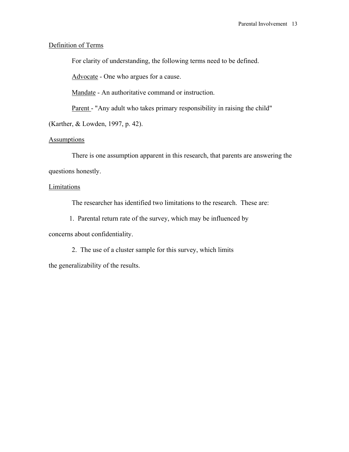# Definition of Terms

For clarity of understanding, the following terms need to be defined.

Advocate - One who argues for a cause.

Mandate - An authoritative command or instruction.

Parent - "Any adult who takes primary responsibility in raising the child"

(Karther, & Lowden, 1997, p. 42).

## **Assumptions**

There is one assumption apparent in this research, that parents are answering the questions honestly.

# **Limitations**

The researcher has identified two limitations to the research. These are:

1. Parental return rate of the survey, which may be influenced by

concerns about confidentiality.

2. The use of a cluster sample for this survey, which limits the generalizability of the results.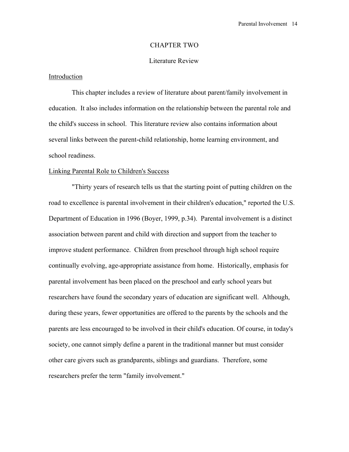#### CHAPTER TWO

#### Literature Review

### Introduction

This chapter includes a review of literature about parent/family involvement in education. It also includes information on the relationship between the parental role and the child's success in school. This literature review also contains information about several links between the parent-child relationship, home learning environment, and school readiness.

#### Linking Parental Role to Children's Success

 "Thirty years of research tells us that the starting point of putting children on the road to excellence is parental involvement in their children's education," reported the U.S. Department of Education in 1996 (Boyer, 1999, p.34). Parental involvement is a distinct association between parent and child with direction and support from the teacher to improve student performance. Children from preschool through high school require continually evolving, age-appropriate assistance from home. Historically, emphasis for parental involvement has been placed on the preschool and early school years but researchers have found the secondary years of education are significant well. Although, during these years, fewer opportunities are offered to the parents by the schools and the parents are less encouraged to be involved in their child's education. Of course, in today's society, one cannot simply define a parent in the traditional manner but must consider other care givers such as grandparents, siblings and guardians. Therefore, some researchers prefer the term "family involvement."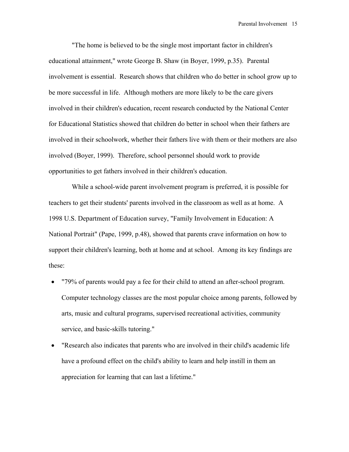"The home is believed to be the single most important factor in children's educational attainment," wrote George B. Shaw (in Boyer, 1999, p.35). Parental involvement is essential. Research shows that children who do better in school grow up to be more successful in life. Although mothers are more likely to be the care givers involved in their children's education, recent research conducted by the National Center for Educational Statistics showed that children do better in school when their fathers are involved in their schoolwork, whether their fathers live with them or their mothers are also involved (Boyer, 1999). Therefore, school personnel should work to provide opportunities to get fathers involved in their children's education.

 While a school-wide parent involvement program is preferred, it is possible for teachers to get their students' parents involved in the classroom as well as at home. A 1998 U.S. Department of Education survey, "Family Involvement in Education: A National Portrait" (Pape, 1999, p.48), showed that parents crave information on how to support their children's learning, both at home and at school. Among its key findings are these:

- "79% of parents would pay a fee for their child to attend an after-school program. Computer technology classes are the most popular choice among parents, followed by arts, music and cultural programs, supervised recreational activities, community service, and basic-skills tutoring."
- "Research also indicates that parents who are involved in their child's academic life have a profound effect on the child's ability to learn and help instill in them an appreciation for learning that can last a lifetime."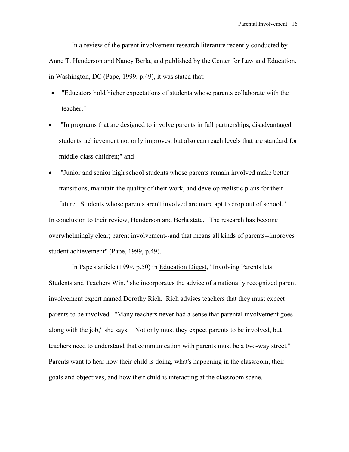In a review of the parent involvement research literature recently conducted by Anne T. Henderson and Nancy Berla, and published by the Center for Law and Education, in Washington, DC (Pape, 1999, p.49), it was stated that:

- "Educators hold higher expectations of students whose parents collaborate with the teacher;"
- "In programs that are designed to involve parents in full partnerships, disadvantaged students' achievement not only improves, but also can reach levels that are standard for middle-class children;" and
- "Junior and senior high school students whose parents remain involved make better transitions, maintain the quality of their work, and develop realistic plans for their future. Students whose parents aren't involved are more apt to drop out of school." In conclusion to their review, Henderson and Berla state, "The research has become overwhelmingly clear; parent involvement--and that means all kinds of parents--improves student achievement" (Pape, 1999, p.49).

 In Pape's article (1999, p.50) in Education Digest, "Involving Parents lets Students and Teachers Win," she incorporates the advice of a nationally recognized parent involvement expert named Dorothy Rich. Rich advises teachers that they must expect parents to be involved. "Many teachers never had a sense that parental involvement goes along with the job," she says. "Not only must they expect parents to be involved, but teachers need to understand that communication with parents must be a two-way street." Parents want to hear how their child is doing, what's happening in the classroom, their goals and objectives, and how their child is interacting at the classroom scene.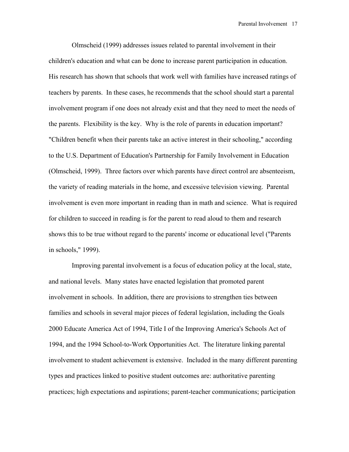Olmscheid (1999) addresses issues related to parental involvement in their children's education and what can be done to increase parent participation in education. His research has shown that schools that work well with families have increased ratings of teachers by parents. In these cases, he recommends that the school should start a parental involvement program if one does not already exist and that they need to meet the needs of the parents. Flexibility is the key. Why is the role of parents in education important? "Children benefit when their parents take an active interest in their schooling," according to the U.S. Department of Education's Partnership for Family Involvement in Education (Olmscheid, 1999). Three factors over which parents have direct control are absenteeism, the variety of reading materials in the home, and excessive television viewing. Parental involvement is even more important in reading than in math and science. What is required for children to succeed in reading is for the parent to read aloud to them and research shows this to be true without regard to the parents' income or educational level ("Parents in schools," 1999).

Improving parental involvement is a focus of education policy at the local, state, and national levels. Many states have enacted legislation that promoted parent involvement in schools. In addition, there are provisions to strengthen ties between families and schools in several major pieces of federal legislation, including the Goals 2000 Educate America Act of 1994, Title I of the Improving America's Schools Act of 1994, and the 1994 School-to-Work Opportunities Act. The literature linking parental involvement to student achievement is extensive. Included in the many different parenting types and practices linked to positive student outcomes are: authoritative parenting practices; high expectations and aspirations; parent-teacher communications; participation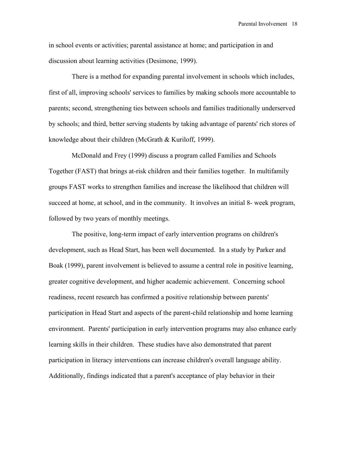in school events or activities; parental assistance at home; and participation in and discussion about learning activities (Desimone, 1999).

 There is a method for expanding parental involvement in schools which includes, first of all, improving schools' services to families by making schools more accountable to parents; second, strengthening ties between schools and families traditionally underserved by schools; and third, better serving students by taking advantage of parents' rich stores of knowledge about their children (McGrath & Kuriloff, 1999).

 McDonald and Frey (1999) discuss a program called Families and Schools Together (FAST) that brings at-risk children and their families together. In multifamily groups FAST works to strengthen families and increase the likelihood that children will succeed at home, at school, and in the community. It involves an initial 8- week program, followed by two years of monthly meetings.

 The positive, long-term impact of early intervention programs on children's development, such as Head Start, has been well documented. In a study by Parker and Boak (1999), parent involvement is believed to assume a central role in positive learning, greater cognitive development, and higher academic achievement. Concerning school readiness, recent research has confirmed a positive relationship between parents' participation in Head Start and aspects of the parent-child relationship and home learning environment. Parents' participation in early intervention programs may also enhance early learning skills in their children. These studies have also demonstrated that parent participation in literacy interventions can increase children's overall language ability. Additionally, findings indicated that a parent's acceptance of play behavior in their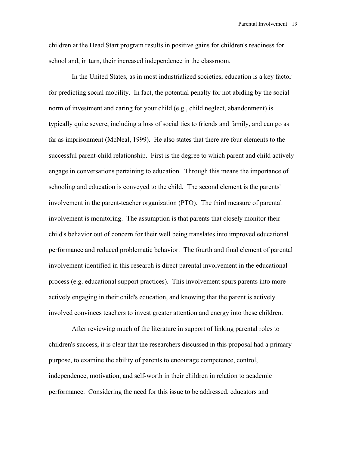children at the Head Start program results in positive gains for children's readiness for school and, in turn, their increased independence in the classroom.

In the United States, as in most industrialized societies, education is a key factor for predicting social mobility. In fact, the potential penalty for not abiding by the social norm of investment and caring for your child (e.g., child neglect, abandonment) is typically quite severe, including a loss of social ties to friends and family, and can go as far as imprisonment (McNeal, 1999). He also states that there are four elements to the successful parent-child relationship. First is the degree to which parent and child actively engage in conversations pertaining to education. Through this means the importance of schooling and education is conveyed to the child. The second element is the parents' involvement in the parent-teacher organization (PTO). The third measure of parental involvement is monitoring. The assumption is that parents that closely monitor their child's behavior out of concern for their well being translates into improved educational performance and reduced problematic behavior. The fourth and final element of parental involvement identified in this research is direct parental involvement in the educational process (e.g. educational support practices). This involvement spurs parents into more actively engaging in their child's education, and knowing that the parent is actively involved convinces teachers to invest greater attention and energy into these children.

After reviewing much of the literature in support of linking parental roles to children's success, it is clear that the researchers discussed in this proposal had a primary purpose, to examine the ability of parents to encourage competence, control, independence, motivation, and self-worth in their children in relation to academic performance. Considering the need for this issue to be addressed, educators and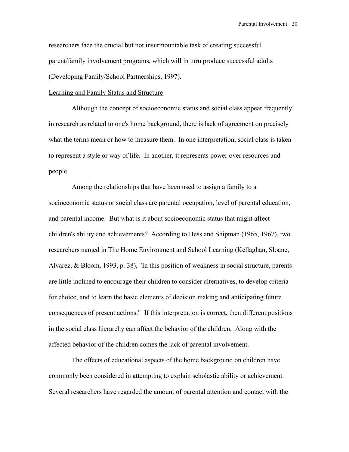researchers face the crucial but not insurmountable task of creating successful parent/family involvement programs, which will in turn produce successful adults (Developing Family/School Partnerships, 1997).

#### Learning and Family Status and Structure

Although the concept of socioeconomic status and social class appear frequently in research as related to one's home background, there is lack of agreement on precisely what the terms mean or how to measure them. In one interpretation, social class is taken to represent a style or way of life. In another, it represents power over resources and people.

Among the relationships that have been used to assign a family to a socioeconomic status or social class are parental occupation, level of parental education, and parental income. But what is it about socioeconomic status that might affect children's ability and achievements? According to Hess and Shipman (1965, 1967), two researchers named in The Home Environment and School Learning (Kellaghan, Sloane, Alvarez, & Bloom, 1993, p. 38), "In this position of weakness in social structure, parents are little inclined to encourage their children to consider alternatives, to develop criteria for choice, and to learn the basic elements of decision making and anticipating future consequences of present actions." If this interpretation is correct, then different positions in the social class hierarchy can affect the behavior of the children. Along with the affected behavior of the children comes the lack of parental involvement.

The effects of educational aspects of the home background on children have commonly been considered in attempting to explain scholastic ability or achievement. Several researchers have regarded the amount of parental attention and contact with the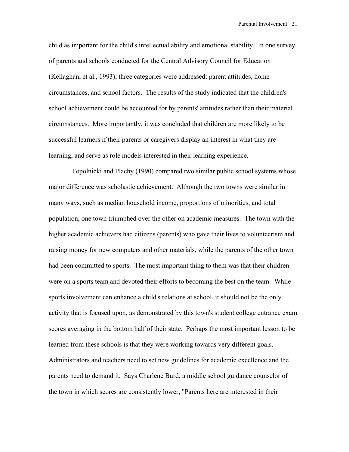child as important for the child's intellectual ability and emotional stability. In one survey of parents and schools conducted for the Central Advisory Council for Education (Kellaghan, et al., 1993), three categories were addressed: parent attitudes, home circumstances, and school factors. The results of the study indicated that the children's school achievement could be accounted for by parents' attitudes rather than their material circumstances. More importantly, it was concluded that children are more likely to be successful learners if their parents or caregivers display an interest in what they are learning, and serve as role models interested in their learning experience.

Topolnicki and Plachy (1990) compared two similar public school systems whose major difference was scholastic achievement. Although the two towns were similar in many ways, such as median household income, proportions of minorities, and total population, one town triumphed over the other on academic measures. The town with the higher academic achievers had citizens (parents) who gave their lives to volunteerism and raising money for new computers and other materials, while the parents of the other town had been committed to sports. The most important thing to them was that their children were on a sports team and devoted their efforts to becoming the best on the team. While sports involvement can enhance a child's relations at school, it should not be the only activity that is focused upon, as demonstrated by this town's student college entrance exam scores averaging in the bottom half of their state. Perhaps the most important lesson to be learned from these schools is that they were working towards very different goals. Administrators and teachers need to set new guidelines for academic excellence and the parents need to demand it. Says Charlene Burd, a middle school guidance counselor of the town in which scores are consistently lower, "Parents here are interested in their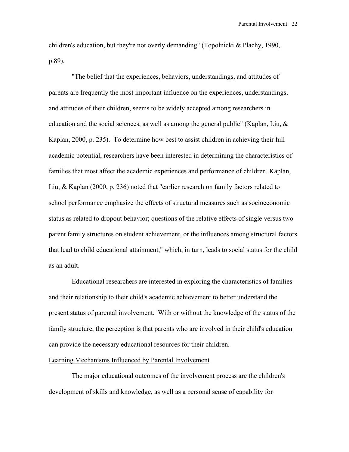children's education, but they're not overly demanding" (Topolnicki & Plachy, 1990, p.89).

"The belief that the experiences, behaviors, understandings, and attitudes of parents are frequently the most important influence on the experiences, understandings, and attitudes of their children, seems to be widely accepted among researchers in education and the social sciences, as well as among the general public" (Kaplan, Liu, & Kaplan, 2000, p. 235). To determine how best to assist children in achieving their full academic potential, researchers have been interested in determining the characteristics of families that most affect the academic experiences and performance of children. Kaplan, Liu, & Kaplan (2000, p. 236) noted that "earlier research on family factors related to school performance emphasize the effects of structural measures such as socioeconomic status as related to dropout behavior; questions of the relative effects of single versus two parent family structures on student achievement, or the influences among structural factors that lead to child educational attainment," which, in turn, leads to social status for the child as an adult.

Educational researchers are interested in exploring the characteristics of families and their relationship to their child's academic achievement to better understand the present status of parental involvement. With or without the knowledge of the status of the family structure, the perception is that parents who are involved in their child's education can provide the necessary educational resources for their children.

#### Learning Mechanisms Influenced by Parental Involvement

 The major educational outcomes of the involvement process are the children's development of skills and knowledge, as well as a personal sense of capability for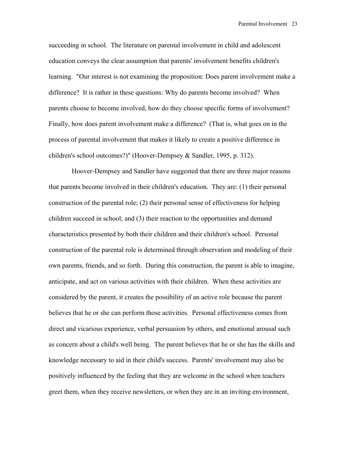succeeding in school. The literature on parental involvement in child and adolescent education conveys the clear assumption that parents' involvement benefits children's learning. "Our interest is not examining the proposition: Does parent involvement make a difference? It is rather in these questions: Why do parents become involved? When parents choose to become involved, how do they choose specific forms of involvement? Finally, how does parent involvement make a difference? (That is, what goes on in the process of parental involvement that makes it likely to create a positive difference in children's school outcomes?)" (Hoover-Dempsey & Sandler, 1995, p. 312).

Hoover-Dempsey and Sandler have suggested that there are three major reasons that parents become involved in their children's education. They are: (1) their personal construction of the parental role; (2) their personal sense of effectiveness for helping children succeed in school; and (3) their reaction to the opportunities and demand characteristics presented by both their children and their children's school. Personal construction of the parental role is determined through observation and modeling of their own parents, friends, and so forth. During this construction, the parent is able to imagine, anticipate, and act on various activities with their children. When these activities are considered by the parent, it creates the possibility of an active role because the parent believes that he or she can perform those activities. Personal effectiveness comes from direct and vicarious experience, verbal persuasion by others, and emotional arousal such as concern about a child's well being. The parent believes that he or she has the skills and knowledge necessary to aid in their child's success. Parents' involvement may also be positively influenced by the feeling that they are welcome in the school when teachers greet them, when they receive newsletters, or when they are in an inviting environment,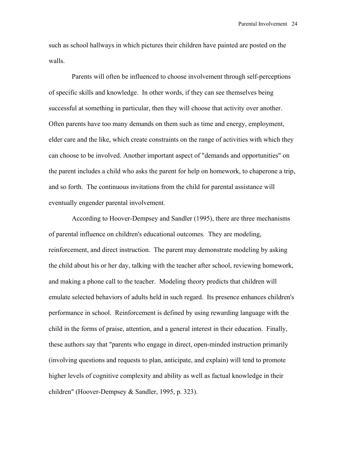such as school hallways in which pictures their children have painted are posted on the walls.

 Parents will often be influenced to choose involvement through self-perceptions of specific skills and knowledge. In other words, if they can see themselves being successful at something in particular, then they will choose that activity over another. Often parents have too many demands on them such as time and energy, employment, elder care and the like, which create constraints on the range of activities with which they can choose to be involved. Another important aspect of "demands and opportunities" on the parent includes a child who asks the parent for help on homework, to chaperone a trip, and so forth. The continuous invitations from the child for parental assistance will eventually engender parental involvement.

According to Hoover-Dempsey and Sandler (1995), there are three mechanisms of parental influence on children's educational outcomes. They are modeling, reinforcement, and direct instruction. The parent may demonstrate modeling by asking the child about his or her day, talking with the teacher after school, reviewing homework, and making a phone call to the teacher. Modeling theory predicts that children will emulate selected behaviors of adults held in such regard. Its presence enhances children's performance in school. Reinforcement is defined by using rewarding language with the child in the forms of praise, attention, and a general interest in their education. Finally, these authors say that "parents who engage in direct, open-minded instruction primarily (involving questions and requests to plan, anticipate, and explain) will tend to promote higher levels of cognitive complexity and ability as well as factual knowledge in their children" (Hoover-Dempsey & Sandler, 1995, p. 323).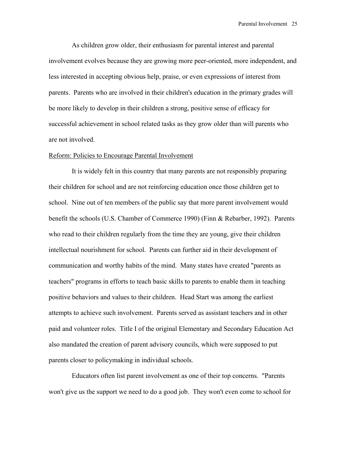As children grow older, their enthusiasm for parental interest and parental involvement evolves because they are growing more peer-oriented, more independent, and less interested in accepting obvious help, praise, or even expressions of interest from parents. Parents who are involved in their children's education in the primary grades will be more likely to develop in their children a strong, positive sense of efficacy for successful achievement in school related tasks as they grow older than will parents who are not involved.

#### Reform: Policies to Encourage Parental Involvement

It is widely felt in this country that many parents are not responsibly preparing their children for school and are not reinforcing education once those children get to school. Nine out of ten members of the public say that more parent involvement would benefit the schools (U.S. Chamber of Commerce 1990) (Finn & Rebarber, 1992). Parents who read to their children regularly from the time they are young, give their children intellectual nourishment for school. Parents can further aid in their development of communication and worthy habits of the mind. Many states have created "parents as teachers" programs in efforts to teach basic skills to parents to enable them in teaching positive behaviors and values to their children. Head Start was among the earliest attempts to achieve such involvement. Parents served as assistant teachers and in other paid and volunteer roles. Title I of the original Elementary and Secondary Education Act also mandated the creation of parent advisory councils, which were supposed to put parents closer to policymaking in individual schools.

Educators often list parent involvement as one of their top concerns. "Parents won't give us the support we need to do a good job. They won't even come to school for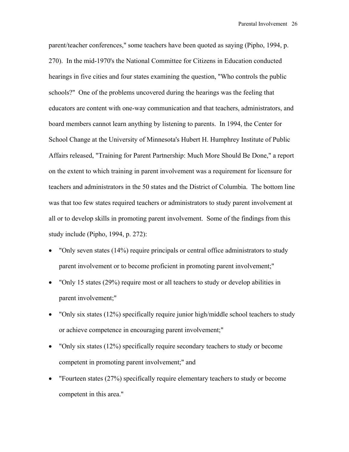parent/teacher conferences," some teachers have been quoted as saying (Pipho, 1994, p. 270). In the mid-1970's the National Committee for Citizens in Education conducted hearings in five cities and four states examining the question, "Who controls the public schools?" One of the problems uncovered during the hearings was the feeling that educators are content with one-way communication and that teachers, administrators, and board members cannot learn anything by listening to parents. In 1994, the Center for School Change at the University of Minnesota's Hubert H. Humphrey Institute of Public Affairs released, "Training for Parent Partnership: Much More Should Be Done," a report on the extent to which training in parent involvement was a requirement for licensure for teachers and administrators in the 50 states and the District of Columbia. The bottom line was that too few states required teachers or administrators to study parent involvement at all or to develop skills in promoting parent involvement. Some of the findings from this study include (Pipho, 1994, p. 272):

- "Only seven states (14%) require principals or central office administrators to study parent involvement or to become proficient in promoting parent involvement;"
- "Only 15 states (29%) require most or all teachers to study or develop abilities in parent involvement;"
- "Only six states (12%) specifically require junior high/middle school teachers to study or achieve competence in encouraging parent involvement;"
- "Only six states (12%) specifically require secondary teachers to study or become competent in promoting parent involvement;" and
- "Fourteen states (27%) specifically require elementary teachers to study or become competent in this area."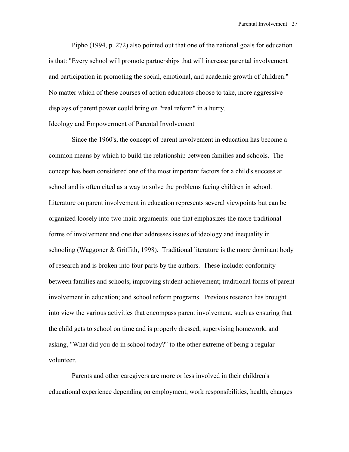Pipho (1994, p. 272) also pointed out that one of the national goals for education is that: "Every school will promote partnerships that will increase parental involvement and participation in promoting the social, emotional, and academic growth of children." No matter which of these courses of action educators choose to take, more aggressive displays of parent power could bring on "real reform" in a hurry.

#### Ideology and Empowerment of Parental Involvement

 Since the 1960's, the concept of parent involvement in education has become a common means by which to build the relationship between families and schools. The concept has been considered one of the most important factors for a child's success at school and is often cited as a way to solve the problems facing children in school. Literature on parent involvement in education represents several viewpoints but can be organized loosely into two main arguments: one that emphasizes the more traditional forms of involvement and one that addresses issues of ideology and inequality in schooling (Waggoner & Griffith, 1998). Traditional literature is the more dominant body of research and is broken into four parts by the authors. These include: conformity between families and schools; improving student achievement; traditional forms of parent involvement in education; and school reform programs. Previous research has brought into view the various activities that encompass parent involvement, such as ensuring that the child gets to school on time and is properly dressed, supervising homework, and asking, "What did you do in school today?" to the other extreme of being a regular volunteer.

 Parents and other caregivers are more or less involved in their children's educational experience depending on employment, work responsibilities, health, changes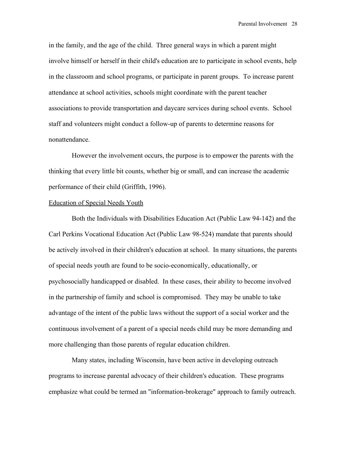in the family, and the age of the child. Three general ways in which a parent might involve himself or herself in their child's education are to participate in school events, help in the classroom and school programs, or participate in parent groups. To increase parent attendance at school activities, schools might coordinate with the parent teacher associations to provide transportation and daycare services during school events. School staff and volunteers might conduct a follow-up of parents to determine reasons for nonattendance.

 However the involvement occurs, the purpose is to empower the parents with the thinking that every little bit counts, whether big or small, and can increase the academic performance of their child (Griffith, 1996).

#### Education of Special Needs Youth

Both the Individuals with Disabilities Education Act (Public Law 94-142) and the Carl Perkins Vocational Education Act (Public Law 98-524) mandate that parents should be actively involved in their children's education at school. In many situations, the parents of special needs youth are found to be socio-economically, educationally, or psychosocially handicapped or disabled. In these cases, their ability to become involved in the partnership of family and school is compromised. They may be unable to take advantage of the intent of the public laws without the support of a social worker and the continuous involvement of a parent of a special needs child may be more demanding and more challenging than those parents of regular education children.

 Many states, including Wisconsin, have been active in developing outreach programs to increase parental advocacy of their children's education. These programs emphasize what could be termed an "information-brokerage" approach to family outreach.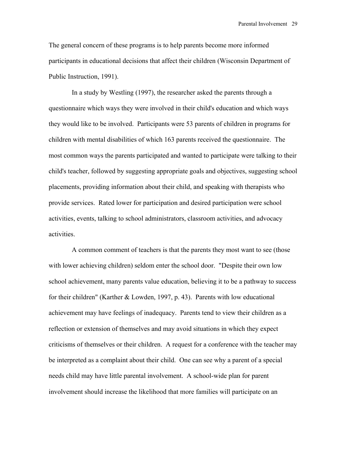The general concern of these programs is to help parents become more informed participants in educational decisions that affect their children (Wisconsin Department of Public Instruction, 1991).

 In a study by Westling (1997), the researcher asked the parents through a questionnaire which ways they were involved in their child's education and which ways they would like to be involved. Participants were 53 parents of children in programs for children with mental disabilities of which 163 parents received the questionnaire. The most common ways the parents participated and wanted to participate were talking to their child's teacher, followed by suggesting appropriate goals and objectives, suggesting school placements, providing information about their child, and speaking with therapists who provide services. Rated lower for participation and desired participation were school activities, events, talking to school administrators, classroom activities, and advocacy activities.

 A common comment of teachers is that the parents they most want to see (those with lower achieving children) seldom enter the school door. "Despite their own low school achievement, many parents value education, believing it to be a pathway to success for their children" (Karther & Lowden, 1997, p. 43). Parents with low educational achievement may have feelings of inadequacy. Parents tend to view their children as a reflection or extension of themselves and may avoid situations in which they expect criticisms of themselves or their children. A request for a conference with the teacher may be interpreted as a complaint about their child. One can see why a parent of a special needs child may have little parental involvement. A school-wide plan for parent involvement should increase the likelihood that more families will participate on an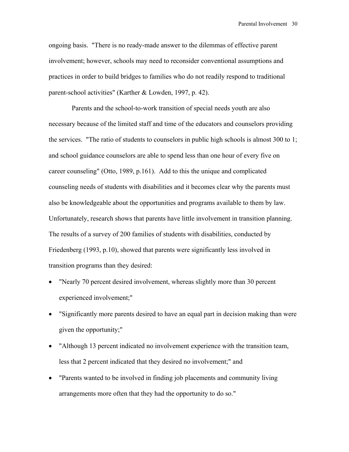ongoing basis. "There is no ready-made answer to the dilemmas of effective parent involvement; however, schools may need to reconsider conventional assumptions and practices in order to build bridges to families who do not readily respond to traditional parent-school activities" (Karther & Lowden, 1997, p. 42).

 Parents and the school-to-work transition of special needs youth are also necessary because of the limited staff and time of the educators and counselors providing the services. "The ratio of students to counselors in public high schools is almost 300 to 1; and school guidance counselors are able to spend less than one hour of every five on career counseling" (Otto, 1989, p.161). Add to this the unique and complicated counseling needs of students with disabilities and it becomes clear why the parents must also be knowledgeable about the opportunities and programs available to them by law. Unfortunately, research shows that parents have little involvement in transition planning. The results of a survey of 200 families of students with disabilities, conducted by Friedenberg (1993, p.10), showed that parents were significantly less involved in transition programs than they desired:

- "Nearly 70 percent desired involvement, whereas slightly more than 30 percent experienced involvement;"
- "Significantly more parents desired to have an equal part in decision making than were given the opportunity;"
- "Although 13 percent indicated no involvement experience with the transition team, less that 2 percent indicated that they desired no involvement;" and
- "Parents wanted to be involved in finding job placements and community living arrangements more often that they had the opportunity to do so."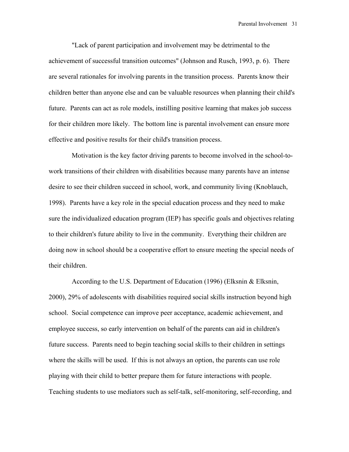"Lack of parent participation and involvement may be detrimental to the achievement of successful transition outcomes" (Johnson and Rusch, 1993, p. 6). There are several rationales for involving parents in the transition process. Parents know their children better than anyone else and can be valuable resources when planning their child's future. Parents can act as role models, instilling positive learning that makes job success for their children more likely. The bottom line is parental involvement can ensure more effective and positive results for their child's transition process.

 Motivation is the key factor driving parents to become involved in the school-towork transitions of their children with disabilities because many parents have an intense desire to see their children succeed in school, work, and community living (Knoblauch, 1998). Parents have a key role in the special education process and they need to make sure the individualized education program (IEP) has specific goals and objectives relating to their children's future ability to live in the community. Everything their children are doing now in school should be a cooperative effort to ensure meeting the special needs of their children.

 According to the U.S. Department of Education (1996) (Elksnin & Elksnin, 2000), 29% of adolescents with disabilities required social skills instruction beyond high school. Social competence can improve peer acceptance, academic achievement, and employee success, so early intervention on behalf of the parents can aid in children's future success. Parents need to begin teaching social skills to their children in settings where the skills will be used. If this is not always an option, the parents can use role playing with their child to better prepare them for future interactions with people. Teaching students to use mediators such as self-talk, self-monitoring, self-recording, and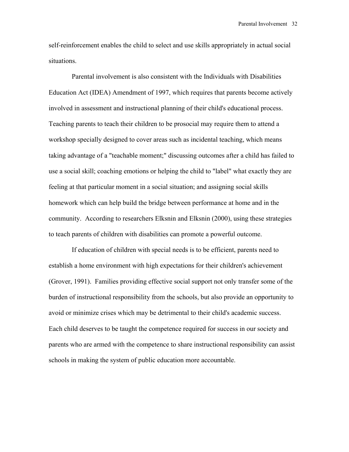self-reinforcement enables the child to select and use skills appropriately in actual social situations.

 Parental involvement is also consistent with the Individuals with Disabilities Education Act (IDEA) Amendment of 1997, which requires that parents become actively involved in assessment and instructional planning of their child's educational process. Teaching parents to teach their children to be prosocial may require them to attend a workshop specially designed to cover areas such as incidental teaching, which means taking advantage of a "teachable moment;" discussing outcomes after a child has failed to use a social skill; coaching emotions or helping the child to "label" what exactly they are feeling at that particular moment in a social situation; and assigning social skills homework which can help build the bridge between performance at home and in the community. According to researchers Elksnin and Elksnin (2000), using these strategies to teach parents of children with disabilities can promote a powerful outcome.

 If education of children with special needs is to be efficient, parents need to establish a home environment with high expectations for their children's achievement (Grover, 1991). Families providing effective social support not only transfer some of the burden of instructional responsibility from the schools, but also provide an opportunity to avoid or minimize crises which may be detrimental to their child's academic success. Each child deserves to be taught the competence required for success in our society and parents who are armed with the competence to share instructional responsibility can assist schools in making the system of public education more accountable.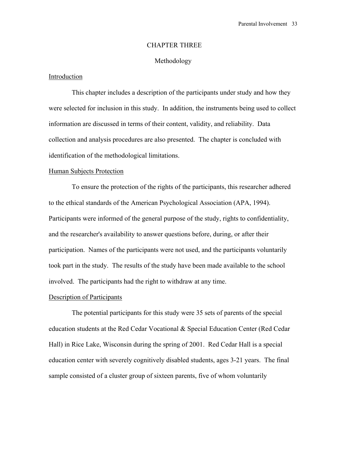#### CHAPTER THREE

#### Methodology

### Introduction

 This chapter includes a description of the participants under study and how they were selected for inclusion in this study. In addition, the instruments being used to collect information are discussed in terms of their content, validity, and reliability. Data collection and analysis procedures are also presented. The chapter is concluded with identification of the methodological limitations.

#### Human Subjects Protection

To ensure the protection of the rights of the participants, this researcher adhered to the ethical standards of the American Psychological Association (APA, 1994). Participants were informed of the general purpose of the study, rights to confidentiality, and the researcher's availability to answer questions before, during, or after their participation. Names of the participants were not used, and the participants voluntarily took part in the study. The results of the study have been made available to the school involved. The participants had the right to withdraw at any time.

#### Description of Participants

 The potential participants for this study were 35 sets of parents of the special education students at the Red Cedar Vocational & Special Education Center (Red Cedar Hall) in Rice Lake, Wisconsin during the spring of 2001. Red Cedar Hall is a special education center with severely cognitively disabled students, ages 3-21 years. The final sample consisted of a cluster group of sixteen parents, five of whom voluntarily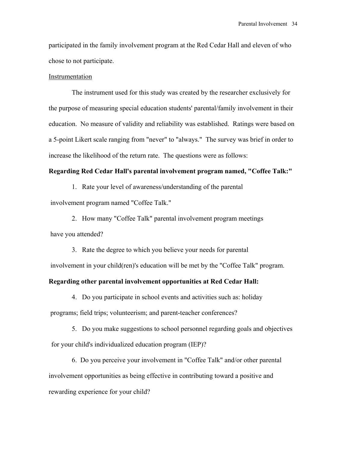participated in the family involvement program at the Red Cedar Hall and eleven of who chose to not participate.

#### Instrumentation

 The instrument used for this study was created by the researcher exclusively for the purpose of measuring special education students' parental/family involvement in their education. No measure of validity and reliability was established. Ratings were based on a 5-point Likert scale ranging from "never" to "always." The survey was brief in order to increase the likelihood of the return rate. The questions were as follows:

#### **Regarding Red Cedar Hall's parental involvement program named, "Coffee Talk:"**

1. Rate your level of awareness/understanding of the parental

involvement program named "Coffee Talk."

2. How many "Coffee Talk" parental involvement program meetings have you attended?

3. Rate the degree to which you believe your needs for parental involvement in your child(ren)'s education will be met by the "Coffee Talk" program.

#### **Regarding other parental involvement opportunities at Red Cedar Hall:**

4. Do you participate in school events and activities such as: holiday programs; field trips; volunteerism; and parent-teacher conferences?

5. Do you make suggestions to school personnel regarding goals and objectives for your child's individualized education program (IEP)?

6. Do you perceive your involvement in "Coffee Talk" and/or other parental involvement opportunities as being effective in contributing toward a positive and rewarding experience for your child?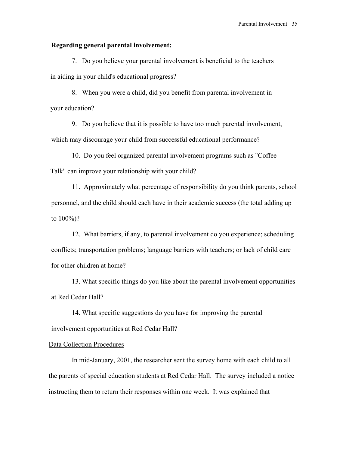#### **Regarding general parental involvement:**

7. Do you believe your parental involvement is beneficial to the teachers in aiding in your child's educational progress?

8. When you were a child, did you benefit from parental involvement in your education?

9. Do you believe that it is possible to have too much parental involvement, which may discourage your child from successful educational performance?

10. Do you feel organized parental involvement programs such as "Coffee Talk" can improve your relationship with your child?

11. Approximately what percentage of responsibility do you think parents, school personnel, and the child should each have in their academic success (the total adding up to 100%)?

12. What barriers, if any, to parental involvement do you experience; scheduling conflicts; transportation problems; language barriers with teachers; or lack of child care for other children at home?

13. What specific things do you like about the parental involvement opportunities at Red Cedar Hall?

14. What specific suggestions do you have for improving the parental involvement opportunities at Red Cedar Hall?

#### Data Collection Procedures

 In mid-January, 2001, the researcher sent the survey home with each child to all the parents of special education students at Red Cedar Hall. The survey included a notice instructing them to return their responses within one week. It was explained that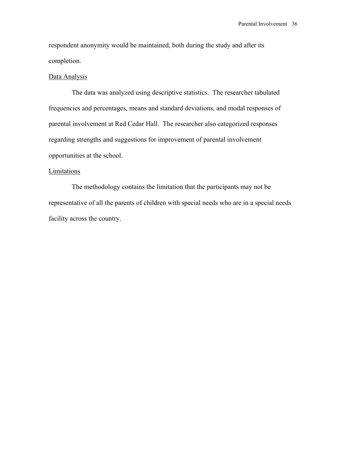respondent anonymity would be maintained, both during the study and after its completion.

#### Data Analysis

 The data was analyzed using descriptive statistics. The researcher tabulated frequencies and percentages, means and standard deviations, and modal responses of parental involvement at Red Cedar Hall. The researcher also categorized responses regarding strengths and suggestions for improvement of parental involvement opportunities at the school.

#### **Limitations**

 The methodology contains the limitation that the participants may not be representative of all the parents of children with special needs who are in a special needs facility across the country.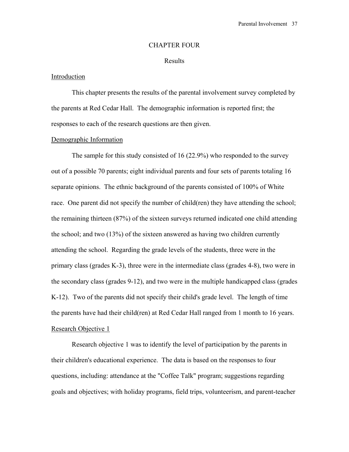## CHAPTER FOUR

#### Results

## Introduction

 This chapter presents the results of the parental involvement survey completed by the parents at Red Cedar Hall. The demographic information is reported first; the responses to each of the research questions are then given.

#### Demographic Information

The sample for this study consisted of 16 (22.9%) who responded to the survey out of a possible 70 parents; eight individual parents and four sets of parents totaling 16 separate opinions. The ethnic background of the parents consisted of 100% of White race. One parent did not specify the number of child(ren) they have attending the school; the remaining thirteen (87%) of the sixteen surveys returned indicated one child attending the school; and two (13%) of the sixteen answered as having two children currently attending the school. Regarding the grade levels of the students, three were in the primary class (grades K-3), three were in the intermediate class (grades 4-8), two were in the secondary class (grades 9-12), and two were in the multiple handicapped class (grades K-12). Two of the parents did not specify their child's grade level. The length of time the parents have had their child(ren) at Red Cedar Hall ranged from 1 month to 16 years. Research Objective 1

Research objective 1 was to identify the level of participation by the parents in their children's educational experience. The data is based on the responses to four questions, including: attendance at the "Coffee Talk" program; suggestions regarding goals and objectives; with holiday programs, field trips, volunteerism, and parent-teacher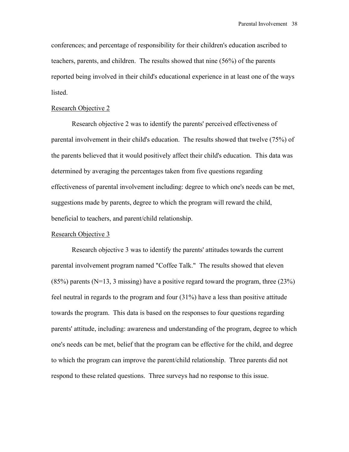conferences; and percentage of responsibility for their children's education ascribed to teachers, parents, and children. The results showed that nine (56%) of the parents reported being involved in their child's educational experience in at least one of the ways listed.

#### Research Objective 2

 Research objective 2 was to identify the parents' perceived effectiveness of parental involvement in their child's education. The results showed that twelve (75%) of the parents believed that it would positively affect their child's education. This data was determined by averaging the percentages taken from five questions regarding effectiveness of parental involvement including: degree to which one's needs can be met, suggestions made by parents, degree to which the program will reward the child, beneficial to teachers, and parent/child relationship.

### Research Objective 3

 Research objective 3 was to identify the parents' attitudes towards the current parental involvement program named "Coffee Talk." The results showed that eleven  $(85%)$  parents (N=13, 3 missing) have a positive regard toward the program, three  $(23%)$ feel neutral in regards to the program and four (31%) have a less than positive attitude towards the program. This data is based on the responses to four questions regarding parents' attitude, including: awareness and understanding of the program, degree to which one's needs can be met, belief that the program can be effective for the child, and degree to which the program can improve the parent/child relationship. Three parents did not respond to these related questions. Three surveys had no response to this issue.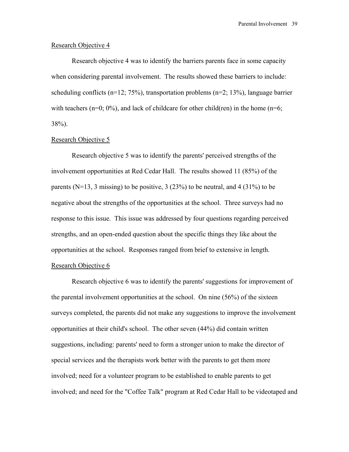#### Research Objective 4

 Research objective 4 was to identify the barriers parents face in some capacity when considering parental involvement. The results showed these barriers to include: scheduling conflicts ( $n=12$ ; 75%), transportation problems ( $n=2$ ; 13%), language barrier with teachers ( $n=0$ ;  $0\%$ ), and lack of childcare for other child(ren) in the home ( $n=6$ ; 38%).

#### Research Objective 5

Research objective 5 was to identify the parents' perceived strengths of the involvement opportunities at Red Cedar Hall. The results showed 11 (85%) of the parents ( $N=13$ , 3 missing) to be positive, 3 (23%) to be neutral, and 4 (31%) to be negative about the strengths of the opportunities at the school. Three surveys had no response to this issue. This issue was addressed by four questions regarding perceived strengths, and an open-ended question about the specific things they like about the opportunities at the school. Responses ranged from brief to extensive in length.

## Research Objective 6

 Research objective 6 was to identify the parents' suggestions for improvement of the parental involvement opportunities at the school. On nine (56%) of the sixteen surveys completed, the parents did not make any suggestions to improve the involvement opportunities at their child's school. The other seven (44%) did contain written suggestions, including: parents' need to form a stronger union to make the director of special services and the therapists work better with the parents to get them more involved; need for a volunteer program to be established to enable parents to get involved; and need for the "Coffee Talk" program at Red Cedar Hall to be videotaped and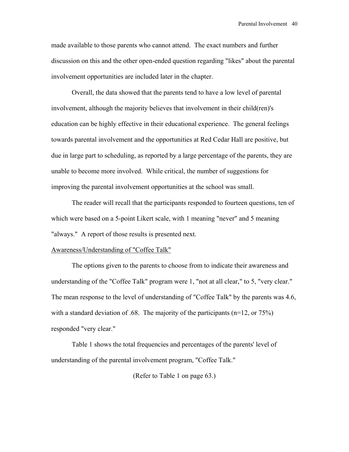made available to those parents who cannot attend. The exact numbers and further discussion on this and the other open-ended question regarding "likes" about the parental involvement opportunities are included later in the chapter.

Overall, the data showed that the parents tend to have a low level of parental involvement, although the majority believes that involvement in their child(ren)'s education can be highly effective in their educational experience. The general feelings towards parental involvement and the opportunities at Red Cedar Hall are positive, but due in large part to scheduling, as reported by a large percentage of the parents, they are unable to become more involved. While critical, the number of suggestions for improving the parental involvement opportunities at the school was small.

The reader will recall that the participants responded to fourteen questions, ten of which were based on a 5-point Likert scale, with 1 meaning "never" and 5 meaning "always." A report of those results is presented next.

#### Awareness/Understanding of "Coffee Talk"

The options given to the parents to choose from to indicate their awareness and understanding of the "Coffee Talk" program were 1, "not at all clear," to 5, "very clear." The mean response to the level of understanding of "Coffee Talk" by the parents was 4.6, with a standard deviation of .68. The majority of the participants  $(n=12, \text{ or } 75%)$ responded "very clear."

Table 1 shows the total frequencies and percentages of the parents' level of understanding of the parental involvement program, "Coffee Talk."

(Refer to Table 1 on page 63.)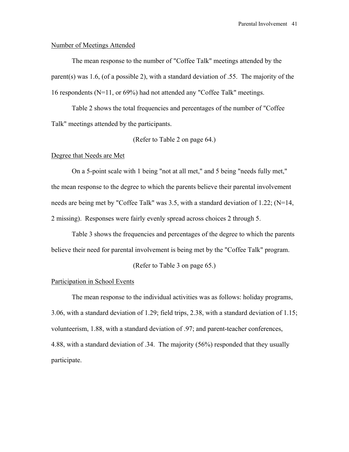#### Number of Meetings Attended

The mean response to the number of "Coffee Talk" meetings attended by the parent(s) was 1.6, (of a possible 2), with a standard deviation of .55. The majority of the 16 respondents (N=11, or 69%) had not attended any "Coffee Talk" meetings.

 Table 2 shows the total frequencies and percentages of the number of "Coffee Talk" meetings attended by the participants.

(Refer to Table 2 on page 64.)

#### Degree that Needs are Met

 On a 5-point scale with 1 being "not at all met," and 5 being "needs fully met," the mean response to the degree to which the parents believe their parental involvement needs are being met by "Coffee Talk" was 3.5, with a standard deviation of 1.22; (N=14, 2 missing). Responses were fairly evenly spread across choices 2 through 5.

 Table 3 shows the frequencies and percentages of the degree to which the parents believe their need for parental involvement is being met by the "Coffee Talk" program.

(Refer to Table 3 on page 65.)

## Participation in School Events

 The mean response to the individual activities was as follows: holiday programs, 3.06, with a standard deviation of 1.29; field trips, 2.38, with a standard deviation of 1.15; volunteerism, 1.88, with a standard deviation of .97; and parent-teacher conferences, 4.88, with a standard deviation of .34. The majority (56%) responded that they usually participate.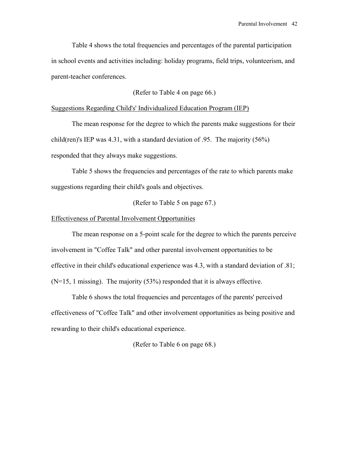Table 4 shows the total frequencies and percentages of the parental participation in school events and activities including: holiday programs, field trips, volunteerism, and parent-teacher conferences.

(Refer to Table 4 on page 66.)

## Suggestions Regarding Child's' Individualized Education Program (IEP)

 The mean response for the degree to which the parents make suggestions for their child(ren)'s IEP was 4.31, with a standard deviation of .95. The majority (56%) responded that they always make suggestions.

 Table 5 shows the frequencies and percentages of the rate to which parents make suggestions regarding their child's goals and objectives.

(Refer to Table 5 on page 67.)

#### Effectiveness of Parental Involvement Opportunities

 The mean response on a 5-point scale for the degree to which the parents perceive involvement in "Coffee Talk" and other parental involvement opportunities to be effective in their child's educational experience was 4.3, with a standard deviation of .81; (N=15, 1 missing). The majority (53%) responded that it is always effective.

 Table 6 shows the total frequencies and percentages of the parents' perceived effectiveness of "Coffee Talk" and other involvement opportunities as being positive and rewarding to their child's educational experience.

(Refer to Table 6 on page 68.)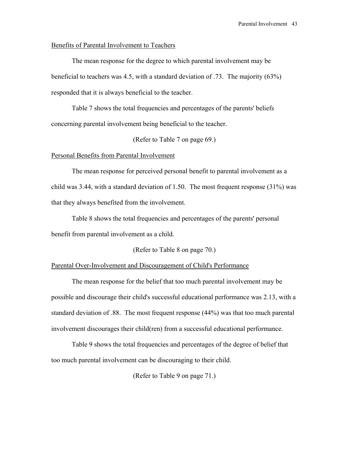## Benefits of Parental Involvement to Teachers

 The mean response for the degree to which parental involvement may be beneficial to teachers was 4.5, with a standard deviation of .73. The majority (63%) responded that it is always beneficial to the teacher.

 Table 7 shows the total frequencies and percentages of the parents' beliefs concerning parental involvement being beneficial to the teacher.

(Refer to Table 7 on page 69.)

#### Personal Benefits from Parental Involvement

The mean response for perceived personal benefit to parental involvement as a child was 3.44, with a standard deviation of 1.50. The most frequent response (31%) was that they always benefited from the involvement.

 Table 8 shows the total frequencies and percentages of the parents' personal benefit from parental involvement as a child.

(Refer to Table 8 on page 70.)

#### Parental Over-Involvement and Discouragement of Child's Performance

 The mean response for the belief that too much parental involvement may be possible and discourage their child's successful educational performance was 2.13, with a standard deviation of .88. The most frequent response (44%) was that too much parental involvement discourages their child(ren) from a successful educational performance.

 Table 9 shows the total frequencies and percentages of the degree of belief that too much parental involvement can be discouraging to their child.

(Refer to Table 9 on page 71.)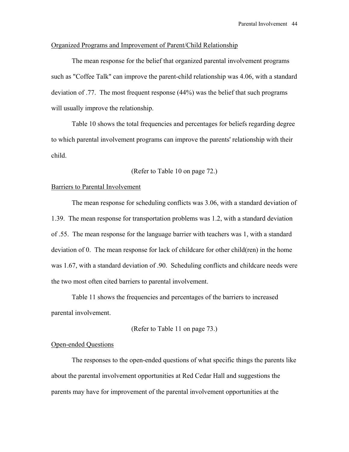#### Organized Programs and Improvement of Parent/Child Relationship

 The mean response for the belief that organized parental involvement programs such as "Coffee Talk" can improve the parent-child relationship was 4.06, with a standard deviation of .77. The most frequent response (44%) was the belief that such programs will usually improve the relationship.

 Table 10 shows the total frequencies and percentages for beliefs regarding degree to which parental involvement programs can improve the parents' relationship with their child.

(Refer to Table 10 on page 72.)

## Barriers to Parental Involvement

 The mean response for scheduling conflicts was 3.06, with a standard deviation of 1.39. The mean response for transportation problems was 1.2, with a standard deviation of .55. The mean response for the language barrier with teachers was 1, with a standard deviation of 0. The mean response for lack of childcare for other child(ren) in the home was 1.67, with a standard deviation of .90. Scheduling conflicts and childcare needs were the two most often cited barriers to parental involvement.

Table 11 shows the frequencies and percentages of the barriers to increased parental involvement.

(Refer to Table 11 on page 73.)

## Open-ended Questions

 The responses to the open-ended questions of what specific things the parents like about the parental involvement opportunities at Red Cedar Hall and suggestions the parents may have for improvement of the parental involvement opportunities at the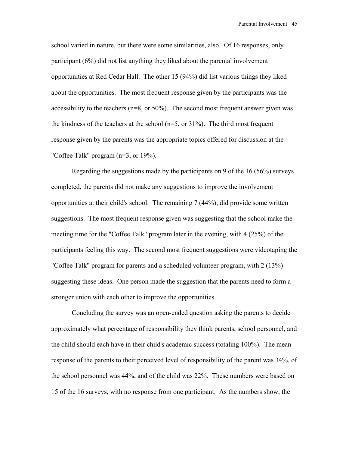school varied in nature, but there were some similarities, also. Of 16 responses, only 1 participant (6%) did not list anything they liked about the parental involvement opportunities at Red Cedar Hall. The other 15 (94%) did list various things they liked about the opportunities. The most frequent response given by the participants was the accessibility to the teachers ( $n=8$ , or 50%). The second most frequent answer given was the kindness of the teachers at the school  $(n=5, or 31\%)$ . The third most frequent response given by the parents was the appropriate topics offered for discussion at the "Coffee Talk" program (n=3, or 19%).

Regarding the suggestions made by the participants on 9 of the 16 (56%) surveys completed, the parents did not make any suggestions to improve the involvement opportunities at their child's school. The remaining 7 (44%), did provide some written suggestions. The most frequent response given was suggesting that the school make the meeting time for the "Coffee Talk" program later in the evening, with 4 (25%) of the participants feeling this way. The second most frequent suggestions were videotaping the "Coffee Talk" program for parents and a scheduled volunteer program, with 2 (13%) suggesting these ideas. One person made the suggestion that the parents need to form a stronger union with each other to improve the opportunities.

Concluding the survey was an open-ended question asking the parents to decide approximately what percentage of responsibility they think parents, school personnel, and the child should each have in their child's academic success (totaling 100%). The mean response of the parents to their perceived level of responsibility of the parent was 34%, of the school personnel was 44%, and of the child was 22%. These numbers were based on 15 of the 16 surveys, with no response from one participant. As the numbers show, the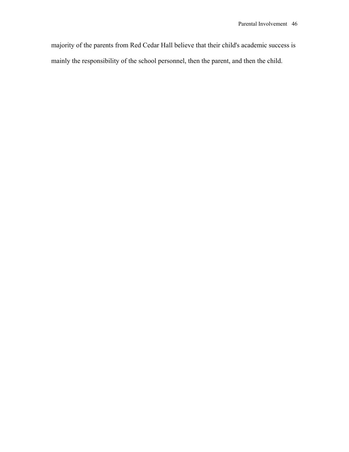majority of the parents from Red Cedar Hall believe that their child's academic success is mainly the responsibility of the school personnel, then the parent, and then the child.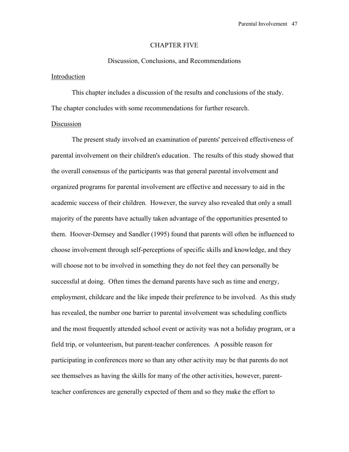#### CHAPTER FIVE

# Discussion, Conclusions, and Recommendations

## Introduction

 This chapter includes a discussion of the results and conclusions of the study. The chapter concludes with some recommendations for further research.

## Discussion

 The present study involved an examination of parents' perceived effectiveness of parental involvement on their children's education. The results of this study showed that the overall consensus of the participants was that general parental involvement and organized programs for parental involvement are effective and necessary to aid in the academic success of their children. However, the survey also revealed that only a small majority of the parents have actually taken advantage of the opportunities presented to them. Hoover-Demsey and Sandler (1995) found that parents will often be influenced to choose involvement through self-perceptions of specific skills and knowledge, and they will choose not to be involved in something they do not feel they can personally be successful at doing. Often times the demand parents have such as time and energy, employment, childcare and the like impede their preference to be involved. As this study has revealed, the number one barrier to parental involvement was scheduling conflicts and the most frequently attended school event or activity was not a holiday program, or a field trip, or volunteerism, but parent-teacher conferences. A possible reason for participating in conferences more so than any other activity may be that parents do not see themselves as having the skills for many of the other activities, however, parentteacher conferences are generally expected of them and so they make the effort to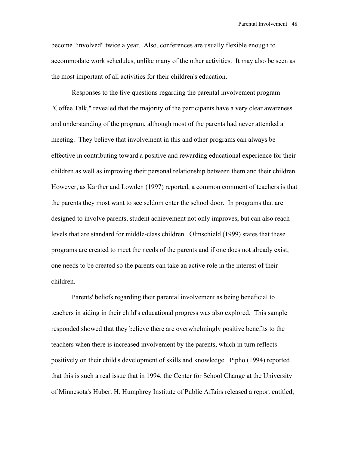become "involved" twice a year. Also, conferences are usually flexible enough to accommodate work schedules, unlike many of the other activities. It may also be seen as the most important of all activities for their children's education.

 Responses to the five questions regarding the parental involvement program "Coffee Talk," revealed that the majority of the participants have a very clear awareness and understanding of the program, although most of the parents had never attended a meeting. They believe that involvement in this and other programs can always be effective in contributing toward a positive and rewarding educational experience for their children as well as improving their personal relationship between them and their children. However, as Karther and Lowden (1997) reported, a common comment of teachers is that the parents they most want to see seldom enter the school door. In programs that are designed to involve parents, student achievement not only improves, but can also reach levels that are standard for middle-class children. Olmschield (1999) states that these programs are created to meet the needs of the parents and if one does not already exist, one needs to be created so the parents can take an active role in the interest of their children.

 Parents' beliefs regarding their parental involvement as being beneficial to teachers in aiding in their child's educational progress was also explored. This sample responded showed that they believe there are overwhelmingly positive benefits to the teachers when there is increased involvement by the parents, which in turn reflects positively on their child's development of skills and knowledge. Pipho (1994) reported that this is such a real issue that in 1994, the Center for School Change at the University of Minnesota's Hubert H. Humphrey Institute of Public Affairs released a report entitled,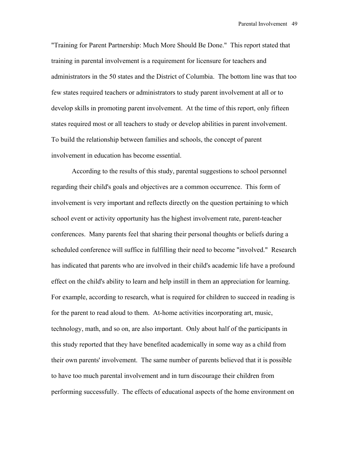"Training for Parent Partnership: Much More Should Be Done." This report stated that training in parental involvement is a requirement for licensure for teachers and administrators in the 50 states and the District of Columbia. The bottom line was that too few states required teachers or administrators to study parent involvement at all or to develop skills in promoting parent involvement. At the time of this report, only fifteen states required most or all teachers to study or develop abilities in parent involvement. To build the relationship between families and schools, the concept of parent involvement in education has become essential.

 According to the results of this study, parental suggestions to school personnel regarding their child's goals and objectives are a common occurrence. This form of involvement is very important and reflects directly on the question pertaining to which school event or activity opportunity has the highest involvement rate, parent-teacher conferences. Many parents feel that sharing their personal thoughts or beliefs during a scheduled conference will suffice in fulfilling their need to become "involved." Research has indicated that parents who are involved in their child's academic life have a profound effect on the child's ability to learn and help instill in them an appreciation for learning. For example, according to research, what is required for children to succeed in reading is for the parent to read aloud to them. At-home activities incorporating art, music, technology, math, and so on, are also important. Only about half of the participants in this study reported that they have benefited academically in some way as a child from their own parents' involvement. The same number of parents believed that it is possible to have too much parental involvement and in turn discourage their children from performing successfully. The effects of educational aspects of the home environment on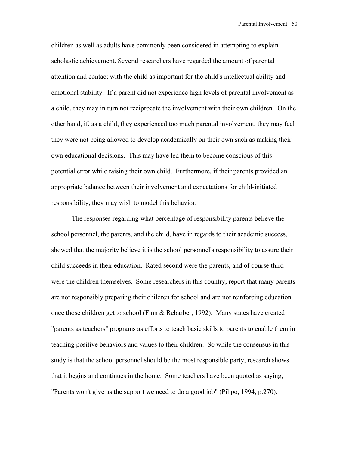children as well as adults have commonly been considered in attempting to explain scholastic achievement. Several researchers have regarded the amount of parental attention and contact with the child as important for the child's intellectual ability and emotional stability. If a parent did not experience high levels of parental involvement as a child, they may in turn not reciprocate the involvement with their own children. On the other hand, if, as a child, they experienced too much parental involvement, they may feel they were not being allowed to develop academically on their own such as making their own educational decisions. This may have led them to become conscious of this potential error while raising their own child. Furthermore, if their parents provided an appropriate balance between their involvement and expectations for child-initiated responsibility, they may wish to model this behavior.

 The responses regarding what percentage of responsibility parents believe the school personnel, the parents, and the child, have in regards to their academic success, showed that the majority believe it is the school personnel's responsibility to assure their child succeeds in their education. Rated second were the parents, and of course third were the children themselves. Some researchers in this country, report that many parents are not responsibly preparing their children for school and are not reinforcing education once those children get to school (Finn & Rebarber, 1992). Many states have created "parents as teachers" programs as efforts to teach basic skills to parents to enable them in teaching positive behaviors and values to their children. So while the consensus in this study is that the school personnel should be the most responsible party, research shows that it begins and continues in the home. Some teachers have been quoted as saying, "Parents won't give us the support we need to do a good job" (Pihpo, 1994, p.270).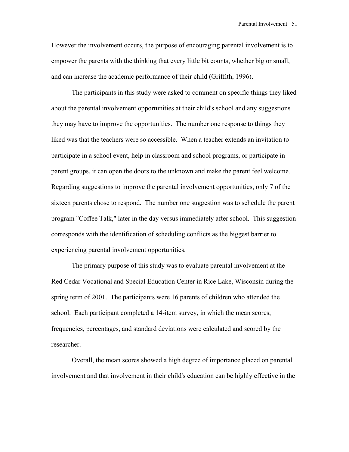However the involvement occurs, the purpose of encouraging parental involvement is to empower the parents with the thinking that every little bit counts, whether big or small, and can increase the academic performance of their child (Griffith, 1996).

 The participants in this study were asked to comment on specific things they liked about the parental involvement opportunities at their child's school and any suggestions they may have to improve the opportunities. The number one response to things they liked was that the teachers were so accessible. When a teacher extends an invitation to participate in a school event, help in classroom and school programs, or participate in parent groups, it can open the doors to the unknown and make the parent feel welcome. Regarding suggestions to improve the parental involvement opportunities, only 7 of the sixteen parents chose to respond. The number one suggestion was to schedule the parent program "Coffee Talk," later in the day versus immediately after school. This suggestion corresponds with the identification of scheduling conflicts as the biggest barrier to experiencing parental involvement opportunities.

 The primary purpose of this study was to evaluate parental involvement at the Red Cedar Vocational and Special Education Center in Rice Lake, Wisconsin during the spring term of 2001. The participants were 16 parents of children who attended the school. Each participant completed a 14-item survey, in which the mean scores, frequencies, percentages, and standard deviations were calculated and scored by the researcher.

 Overall, the mean scores showed a high degree of importance placed on parental involvement and that involvement in their child's education can be highly effective in the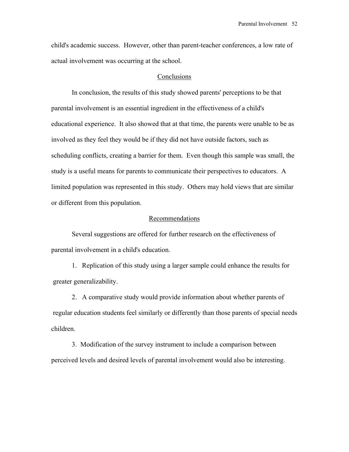child's academic success. However, other than parent-teacher conferences, a low rate of actual involvement was occurring at the school.

#### **Conclusions**

 In conclusion, the results of this study showed parents' perceptions to be that parental involvement is an essential ingredient in the effectiveness of a child's educational experience. It also showed that at that time, the parents were unable to be as involved as they feel they would be if they did not have outside factors, such as scheduling conflicts, creating a barrier for them. Even though this sample was small, the study is a useful means for parents to communicate their perspectives to educators. A limited population was represented in this study. Others may hold views that are similar or different from this population.

#### Recommendations

 Several suggestions are offered for further research on the effectiveness of parental involvement in a child's education.

1. Replication of this study using a larger sample could enhance the results for greater generalizability.

2. A comparative study would provide information about whether parents of regular education students feel similarly or differently than those parents of special needs children.

3. Modification of the survey instrument to include a comparison between perceived levels and desired levels of parental involvement would also be interesting.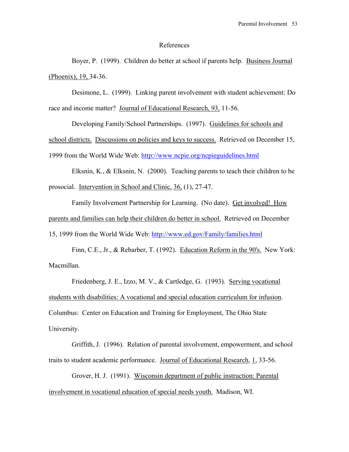#### References

Boyer, P. (1999). Children do better at school if parents help. Business Journal (Phoenix), 19, 34-36.

Desimone, L. (1999). Linking parent involvement with student achievement: Do race and income matter? Journal of Educational Research, 93, 11-56.

Developing Family/School Partnerships. (1997). Guidelines for schools and school districts. Discussions on policies and keys to success. Retrieved on December 15, 1999 from the World Wide Web:<http://www.ncpie.org/ncpieguidelines.html>

Elksnin, K., & Elksnin, N. (2000). Teaching parents to teach their children to be prosocial. Intervention in School and Clinic, 36, (1), 27-47.

Family Involvement Partnership for Learning. (No date). Get involved! How parents and families can help their children do better in school. Retrieved on December 15, 1999 from the World Wide Web:<http://www.ed.gov/Family/families.html>

Finn, C.E., Jr., & Rebarber, T. (1992). Education Reform in the 90's. New York: Macmillan.

Friedenberg, J. E., Izzo, M. V., & Cartledge, G. (1993). Serving vocational students with disabilities: A vocational and special education curriculum for infusion. Columbus: Center on Education and Training for Employment, The Ohio State University.

Griffith, J. (1996). Relation of parental involvement, empowerment, and school traits to student academic performance. Journal of Educational Research, 1, 33-56.

Grover, H. J. (1991). Wisconsin department of public instruction: Parental involvement in vocational education of special needs youth. Madison, WI.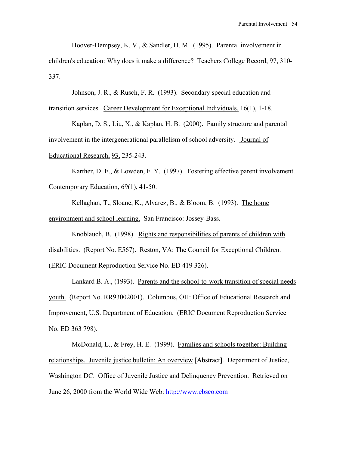Hoover-Dempsey, K. V., & Sandler, H. M. (1995). Parental involvement in

children's education: Why does it make a difference? Teachers College Record, 97, 310- 337.

Johnson, J. R., & Rusch, F. R. (1993). Secondary special education and

transition services. Career Development for Exceptional Individuals, 16(1), 1-18.

Kaplan, D. S., Liu, X., & Kaplan, H. B. (2000). Family structure and parental involvement in the intergenerational parallelism of school adversity. Journal of Educational Research, 93, 235-243.

Karther, D. E., & Lowden, F. Y. (1997). Fostering effective parent involvement. Contemporary Education, 69(1), 41-50.

Kellaghan, T., Sloane, K., Alvarez, B., & Bloom, B. (1993). The home environment and school learning. San Francisco: Jossey-Bass.

Knoblauch, B. (1998). Rights and responsibilities of parents of children with disabilities. (Report No. E567). Reston, VA: The Council for Exceptional Children. (ERIC Document Reproduction Service No. ED 419 326).

Lankard B. A., (1993). Parents and the school-to-work transition of special needs youth. (Report No. RR93002001). Columbus, OH: Office of Educational Research and Improvement, U.S. Department of Education. (ERIC Document Reproduction Service No. ED 363 798).

McDonald, L., & Frey, H. E. (1999). Families and schools together: Building relationships. Juvenile justice bulletin: An overview [Abstract]. Department of Justice, Washington DC. Office of Juvenile Justice and Delinquency Prevention. Retrieved on June 26, 2000 from the World Wide Web: [http://www.ebsco.com](http://www.ebsco.com/)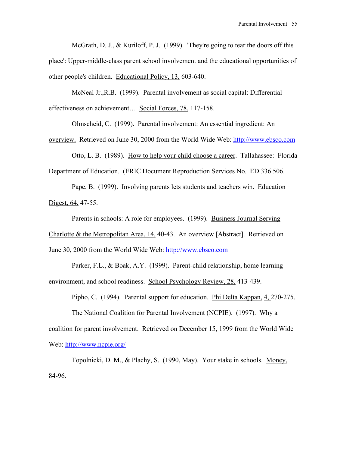McGrath, D. J., & Kuriloff, P. J. (1999). 'They're going to tear the doors off this place': Upper-middle-class parent school involvement and the educational opportunities of other people's children. Educational Policy, 13, 603-640.

McNeal Jr.,R.B. (1999). Parental involvement as social capital: Differential effectiveness on achievement… Social Forces, 78, 117-158.

Olmscheid, C. (1999). Parental involvement: An essential ingredient: An

overview. Retrieved on June 30, 2000 from the World Wide Web: [http://www.ebsco.com](http://www.ebsco.com/)

Otto, L. B. (1989). How to help your child choose a career. Tallahassee: Florida Department of Education. (ERIC Document Reproduction Services No. ED 336 506.

Pape, B. (1999). Involving parents lets students and teachers win. Education Digest, 64, 47-55.

Parents in schools: A role for employees. (1999). Business Journal Serving Charlotte & the Metropolitan Area, 14, 40-43. An overview [Abstract]. Retrieved on June 30, 2000 from the World Wide Web: [http://www.ebsco.com](http://www.ebsco.com/)

Parker, F.L., & Boak, A.Y. (1999). Parent-child relationship, home learning environment, and school readiness. School Psychology Review, 28, 413-439.

Pipho, C. (1994). Parental support for education. Phi Delta Kappan, 4, 270-275.

The National Coalition for Parental Involvement (NCPIE). (1997). Why a coalition for parent involvement. Retrieved on December 15, 1999 from the World Wide Web:<http://www.ncpie.org/>

Topolnicki, D. M., & Plachy, S. (1990, May). Your stake in schools. Money, 84-96.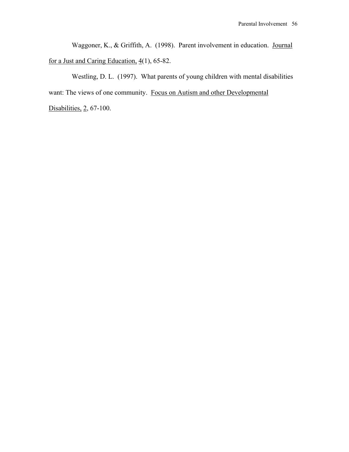Waggoner, K., & Griffith, A. (1998). Parent involvement in education. Journal for a Just and Caring Education,  $4(1)$ , 65-82.

Westling, D. L. (1997). What parents of young children with mental disabilities want: The views of one community. Focus on Autism and other Developmental

Disabilities, 2, 67-100.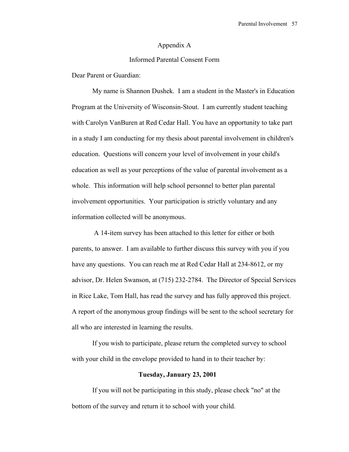#### Appendix A

## Informed Parental Consent Form

Dear Parent or Guardian:

My name is Shannon Dushek. I am a student in the Master's in Education Program at the University of Wisconsin-Stout. I am currently student teaching with Carolyn VanBuren at Red Cedar Hall. You have an opportunity to take part in a study I am conducting for my thesis about parental involvement in children's education. Questions will concern your level of involvement in your child's education as well as your perceptions of the value of parental involvement as a whole. This information will help school personnel to better plan parental involvement opportunities. Your participation is strictly voluntary and any information collected will be anonymous.

 A 14-item survey has been attached to this letter for either or both parents, to answer. I am available to further discuss this survey with you if you have any questions. You can reach me at Red Cedar Hall at 234-8612, or my advisor, Dr. Helen Swanson, at (715) 232-2784. The Director of Special Services in Rice Lake, Tom Hall, has read the survey and has fully approved this project. A report of the anonymous group findings will be sent to the school secretary for all who are interested in learning the results.

If you wish to participate, please return the completed survey to school with your child in the envelope provided to hand in to their teacher by:

## **Tuesday, January 23, 2001**

If you will not be participating in this study, please check "no" at the bottom of the survey and return it to school with your child.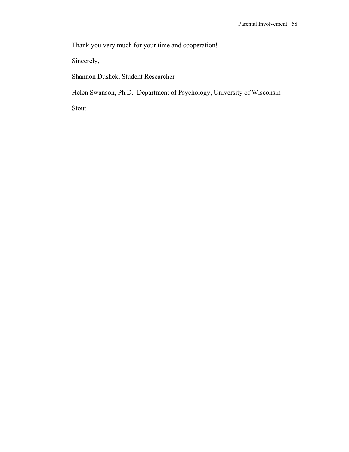Thank you very much for your time and cooperation!

Sincerely,

Shannon Dushek, Student Researcher

Helen Swanson, Ph.D. Department of Psychology, University of Wisconsin-

Stout.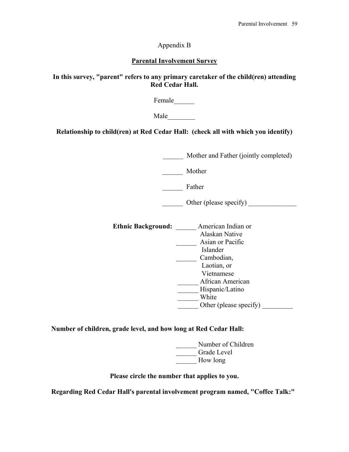Appendix B

## **Parental Involvement Survey**

**In this survey, "parent" refers to any primary caretaker of the child(ren) attending Red Cedar Hall.** 

Female\_\_\_\_\_\_

Male\_\_\_\_\_\_\_\_

**Relationship to child(ren) at Red Cedar Hall: (check all with which you identify)** 

Mother and Father (jointly completed)

\_\_\_\_\_\_ Mother

\_\_\_\_\_\_ Father

\_\_\_\_\_\_ Other (please specify) \_\_\_\_\_\_\_\_\_\_\_\_\_\_

**Ethnic Background:** \_\_\_\_\_\_ American Indian or Alaskan Native \_\_\_\_\_\_ Asian or Pacific Islander \_\_\_\_\_\_ Cambodian, Laotian, or Vietnamese \_\_\_\_\_\_ African American \_\_\_\_\_\_ Hispanic/Latino \_\_\_\_\_\_ White Other (please specify)

**Number of children, grade level, and how long at Red Cedar Hall:** 

Number of Children \_\_\_\_\_\_ Grade Level How long

**Please circle the number that applies to you.** 

**Regarding Red Cedar Hall's parental involvement program named, "Coffee Talk:"**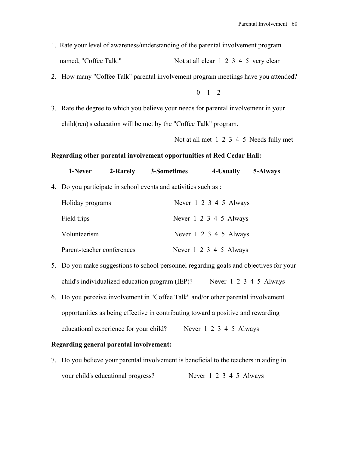- 1. Rate your level of awareness/understanding of the parental involvement program named, "Coffee Talk." Not at all clear 1 2 3 4 5 very clear
- 2. How many "Coffee Talk" parental involvement program meetings have you attended?

 $0 \t1 \t2$ 

3. Rate the degree to which you believe your needs for parental involvement in your child(ren)'s education will be met by the "Coffee Talk" program.

Not at all met 1 2 3 4 5 Needs fully met

#### **Regarding other parental involvement opportunities at Red Cedar Hall:**

| 1-Never | 2-Rarely | 3-Sometimes | 4-Usually | 5-Always |
|---------|----------|-------------|-----------|----------|
|         |          |             |           |          |

4. Do you participate in school events and activities such as :

| Holiday programs           | Never 1 2 3 4 5 Always |
|----------------------------|------------------------|
| Field trips                | Never 1 2 3 4 5 Always |
| Volunteerism               | Never 1 2 3 4 5 Always |
| Parent-teacher conferences | Never 1 2 3 4 5 Always |

- 5. Do you make suggestions to school personnel regarding goals and objectives for your child's individualized education program (IEP)? Never 1 2 3 4 5 Always
- 6. Do you perceive involvement in "Coffee Talk" and/or other parental involvement opportunities as being effective in contributing toward a positive and rewarding educational experience for your child? Never 1 2 3 4 5 Always

#### **Regarding general parental involvement:**

7. Do you believe your parental involvement is beneficial to the teachers in aiding in your child's educational progress? Never 1 2 3 4 5 Always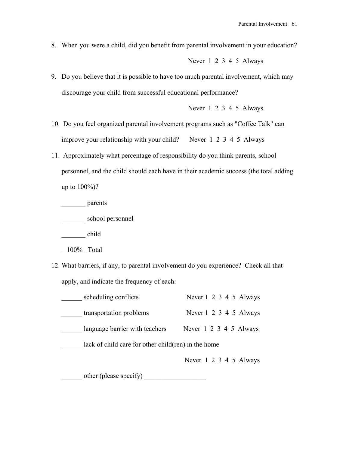8. When you were a child, did you benefit from parental involvement in your education?

Never 1 2 3 4 5 Always

9. Do you believe that it is possible to have too much parental involvement, which may discourage your child from successful educational performance?

Never 1 2 3 4 5 Always

- 10. Do you feel organized parental involvement programs such as "Coffee Talk" can improve your relationship with your child? Never 1 2 3 4 5 Always
- 11. Approximately what percentage of responsibility do you think parents, school personnel, and the child should each have in their academic success (the total adding up to 100%)?

\_\_\_\_\_\_\_ parents

\_\_\_\_\_\_\_ school personnel

\_\_\_\_\_\_\_ child

- 100% Total
- 12. What barriers, if any, to parental involvement do you experience? Check all that apply, and indicate the frequency of each:

| scheduling conflicts                                 | Never 1 2 3 4 5 Always |
|------------------------------------------------------|------------------------|
| transportation problems                              | Never 1 2 3 4 5 Always |
| language barrier with teachers                       | Never 1 2 3 4 5 Always |
| lack of child care for other child (ren) in the home |                        |
|                                                      | Never 1 2 3 4 5 Always |

 $\frac{\text{other (please specify)}}{\text{other (to be a)}}$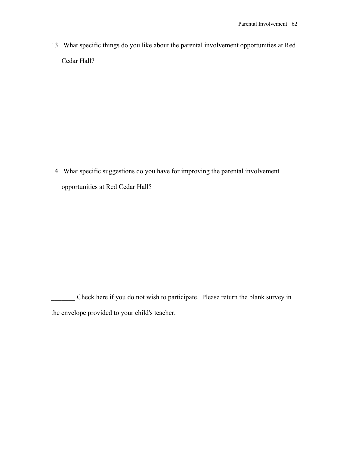13. What specific things do you like about the parental involvement opportunities at Red Cedar Hall?

14. What specific suggestions do you have for improving the parental involvement opportunities at Red Cedar Hall?

Check here if you do not wish to participate. Please return the blank survey in the envelope provided to your child's teacher.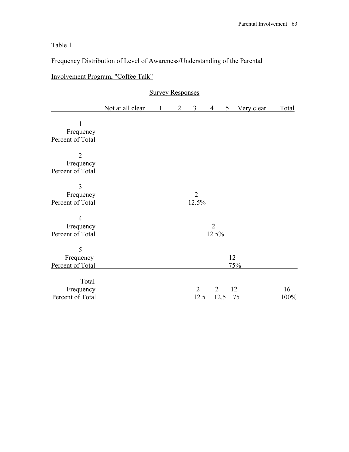Frequency Distribution of Level of Awareness/Understanding of the Parental

Involvement Program, "Coffee Talk"

|                                                 | <b>Survey Responses</b> |  |                             |                         |                         |                |            |              |
|-------------------------------------------------|-------------------------|--|-----------------------------|-------------------------|-------------------------|----------------|------------|--------------|
|                                                 | Not at all clear        |  | $\mathcal{D}_{\mathcal{L}}$ | 3                       | $\overline{4}$          | 5 <sup>5</sup> | Very clear | <b>Total</b> |
| $\mathbf{1}$<br>Frequency<br>Percent of Total   |                         |  |                             |                         |                         |                |            |              |
| $\overline{2}$<br>Frequency<br>Percent of Total |                         |  |                             |                         |                         |                |            |              |
| 3<br>Frequency<br>Percent of Total              |                         |  |                             | $\overline{2}$<br>12.5% |                         |                |            |              |
| $\overline{4}$<br>Frequency<br>Percent of Total |                         |  |                             |                         | $\overline{2}$<br>12.5% |                |            |              |
| 5<br>Frequency<br>Percent of Total              |                         |  |                             |                         |                         | 12             | 75%        |              |
| Total<br>Frequency<br>Percent of Total          |                         |  |                             | $\overline{2}$<br>12.5  | $\overline{2}$          | 12.5           | 12<br>75   | 16<br>100%   |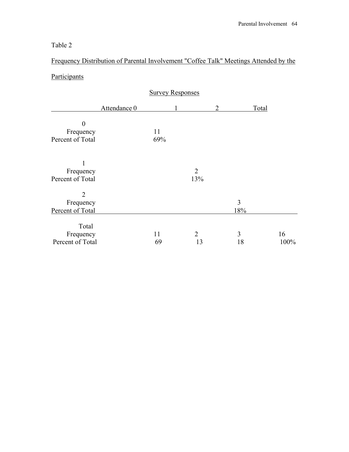Frequency Distribution of Parental Involvement "Coffee Talk" Meetings Attended by the **Participants** 

|                  |              | <b>Survey Responses</b> |                |   |     |       |      |
|------------------|--------------|-------------------------|----------------|---|-----|-------|------|
|                  | Attendance 0 |                         |                | 2 |     | Total |      |
| $\theta$         |              |                         |                |   |     |       |      |
| Frequency        |              | 11                      |                |   |     |       |      |
| Percent of Total |              | 69%                     |                |   |     |       |      |
|                  |              |                         |                |   |     |       |      |
| Frequency        |              |                         | $\overline{2}$ |   |     |       |      |
| Percent of Total |              |                         | 13%            |   |     |       |      |
| $\overline{2}$   |              |                         |                |   |     |       |      |
| Frequency        |              |                         |                |   | 3   |       |      |
| Percent of Total |              |                         |                |   | 18% |       |      |
| Total            |              |                         |                |   |     |       |      |
| Frequency        |              | 11                      | 2              |   | 3   |       | 16   |
| Percent of Total |              | 69                      | 13             |   | 18  |       | 100% |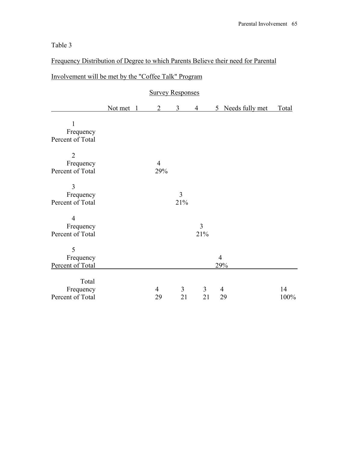Frequency Distribution of Degree to which Parents Believe their need for Parental

|                                                 | <b>Survey Responses</b> |  |                       |          |                       |                |                      |            |
|-------------------------------------------------|-------------------------|--|-----------------------|----------|-----------------------|----------------|----------------------|------------|
|                                                 | Not met                 |  | $\overline{2}$        | 3        | $\overline{4}$        |                | 5 Needs fully met    | Total      |
| $\mathbf{1}$<br>Frequency<br>Percent of Total   |                         |  |                       |          |                       |                |                      |            |
| $\overline{2}$<br>Frequency<br>Percent of Total |                         |  | $\overline{4}$<br>29% |          |                       |                |                      |            |
| 3<br>Frequency<br>Percent of Total              |                         |  |                       | 3<br>21% |                       |                |                      |            |
| $\overline{4}$<br>Frequency<br>Percent of Total |                         |  |                       |          | $\overline{3}$<br>21% |                |                      |            |
| 5<br>Frequency<br>Percent of Total              |                         |  |                       |          |                       | $\overline{4}$ | 29%                  |            |
| Total<br>Frequency<br>Percent of Total          |                         |  | 4<br>29               | 3<br>21  | $\mathfrak{Z}$<br>21  |                | $\overline{4}$<br>29 | 14<br>100% |

# Involvement will be met by the "Coffee Talk" Program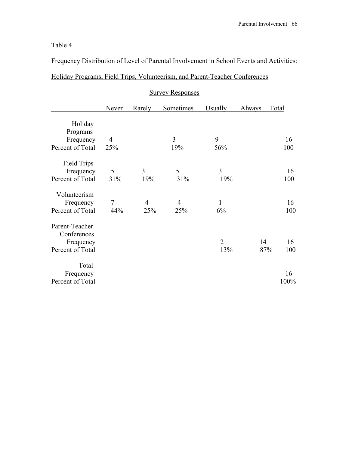Frequency Distribution of Level of Parental Involvement in School Events and Activities:

# Holiday Programs, Field Trips, Volunteerism, and Parent-Teacher Conferences

|                  | Never  | Rarely         | Sometimes      | <b>Usually</b> | <b>Always</b> | <b>Total</b> |
|------------------|--------|----------------|----------------|----------------|---------------|--------------|
| Holiday          |        |                |                |                |               |              |
| Programs         |        |                |                |                |               |              |
| Frequency        | 4      |                | 3              | 9              |               | 16           |
| Percent of Total | 25%    |                | 19%            | 56%            |               | 100          |
| Field Trips      |        |                |                |                |               |              |
| Frequency        | 5      | 3              | 5              | 3              |               | 16           |
| Percent of Total | 31%    | 19%            | 31%            | 19%            |               | 100          |
| Volunteerism     |        |                |                |                |               |              |
| Frequency        | $\tau$ | $\overline{4}$ | $\overline{4}$ | 1              |               | 16           |
| Percent of Total | 44%    | 25%            | 25%            | 6%             |               | 100          |
| Parent-Teacher   |        |                |                |                |               |              |
| Conferences      |        |                |                |                |               |              |
| Frequency        |        |                |                | $\overline{2}$ | 14            | 16           |
| Percent of Total |        |                |                | 13%            | 87%           | 100          |
| Total            |        |                |                |                |               |              |
| Frequency        |        |                |                |                |               | 16           |
| Percent of Total |        |                |                |                |               | 100%         |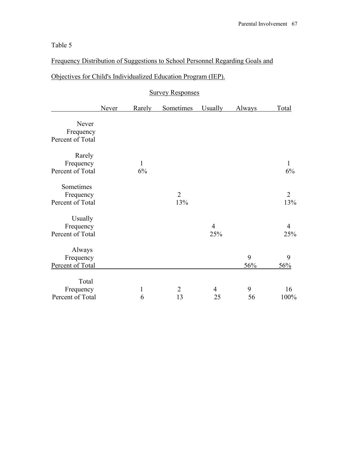Frequency Distribution of Suggestions to School Personnel Regarding Goals and

# Objectives for Child's Individualized Education Program (IEP).

|                               | Never | Rarely       | Sometimes             | Usually               | <b>Always</b> | Total                 |
|-------------------------------|-------|--------------|-----------------------|-----------------------|---------------|-----------------------|
| Never<br>Frequency            |       |              |                       |                       |               |                       |
| Percent of Total              |       |              |                       |                       |               |                       |
| Rarely                        |       |              |                       |                       |               |                       |
| Frequency<br>Percent of Total |       | 1<br>6%      |                       |                       |               | 1<br>6%               |
| Sometimes                     |       |              |                       |                       |               |                       |
| Frequency<br>Percent of Total |       |              | $\overline{2}$<br>13% |                       |               | $\overline{2}$<br>13% |
| Usually                       |       |              |                       |                       |               |                       |
| Frequency<br>Percent of Total |       |              |                       | $\overline{4}$<br>25% |               | $\overline{4}$<br>25% |
| Always                        |       |              |                       |                       |               |                       |
| Frequency<br>Percent of Total |       |              |                       |                       | 9<br>56%      | 9<br>56%              |
| Total                         |       |              |                       |                       |               |                       |
| Frequency                     |       | $\mathbf{1}$ | $\overline{2}$        | 4                     | 9             | 16                    |
| Percent of Total              |       | 6            | 13                    | 25                    | 56            | 100%                  |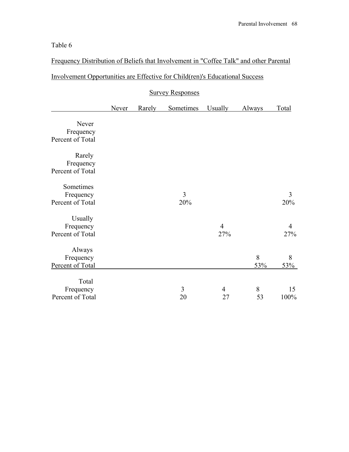Frequency Distribution of Beliefs that Involvement in "Coffee Talk" and other Parental

# Involvement Opportunities are Effective for Child(ren)'s Educational Success

|                  |              | <b>Survey Responses</b> |                  |                |        |                |  |  |  |  |
|------------------|--------------|-------------------------|------------------|----------------|--------|----------------|--|--|--|--|
|                  | <b>Never</b> | Rarely                  | <b>Sometimes</b> | <b>Usually</b> | Always | <b>Total</b>   |  |  |  |  |
| Never            |              |                         |                  |                |        |                |  |  |  |  |
| Frequency        |              |                         |                  |                |        |                |  |  |  |  |
| Percent of Total |              |                         |                  |                |        |                |  |  |  |  |
| Rarely           |              |                         |                  |                |        |                |  |  |  |  |
| Frequency        |              |                         |                  |                |        |                |  |  |  |  |
| Percent of Total |              |                         |                  |                |        |                |  |  |  |  |
| Sometimes        |              |                         |                  |                |        |                |  |  |  |  |
| Frequency        |              |                         | 3                |                |        | 3              |  |  |  |  |
| Percent of Total |              |                         | 20%              |                |        | 20%            |  |  |  |  |
| Usually          |              |                         |                  |                |        |                |  |  |  |  |
| Frequency        |              |                         |                  | $\overline{4}$ |        | $\overline{4}$ |  |  |  |  |
| Percent of Total |              |                         |                  | 27%            |        | 27%            |  |  |  |  |
| Always           |              |                         |                  |                |        |                |  |  |  |  |
| Frequency        |              |                         |                  |                | 8      | 8              |  |  |  |  |
| Percent of Total |              |                         |                  |                | 53%    | 53%            |  |  |  |  |
| Total            |              |                         |                  |                |        |                |  |  |  |  |
| Frequency        |              |                         | 3                | 4              | 8      | 15             |  |  |  |  |
| Percent of Total |              |                         | 20               | 27             | 53     | 100%           |  |  |  |  |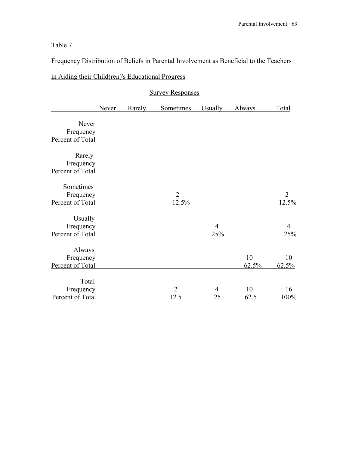Frequency Distribution of Beliefs in Parental Involvement as Beneficial to the Teachers

|  |  |  |  |  |  |  | in Aiding their Child (ren)'s Educational Progress |  |  |
|--|--|--|--|--|--|--|----------------------------------------------------|--|--|
|--|--|--|--|--|--|--|----------------------------------------------------|--|--|

|                     | <b>Never</b> | Rarely | Sometimes      | <b>Usually</b> | Always | Total          |
|---------------------|--------------|--------|----------------|----------------|--------|----------------|
| Never               |              |        |                |                |        |                |
| Frequency           |              |        |                |                |        |                |
| Percent of Total    |              |        |                |                |        |                |
| Rarely<br>Frequency |              |        |                |                |        |                |
| Percent of Total    |              |        |                |                |        |                |
| Sometimes           |              |        |                |                |        |                |
| Frequency           |              |        | 2              |                |        | $\overline{2}$ |
| Percent of Total    |              |        | 12.5%          |                |        | 12.5%          |
| Usually             |              |        |                |                |        |                |
| Frequency           |              |        |                | $\overline{4}$ |        | $\overline{4}$ |
| Percent of Total    |              |        |                | 25%            |        | 25%            |
| Always              |              |        |                |                |        |                |
| Frequency           |              |        |                |                | 10     | 10             |
| Percent of Total    |              |        |                |                | 62.5%  | 62.5%          |
| Total               |              |        |                |                |        |                |
| Frequency           |              |        | $\overline{2}$ | $\overline{4}$ | 10     | 16             |
| Percent of Total    |              |        | 12.5           | 25             | 62.5   | 100%           |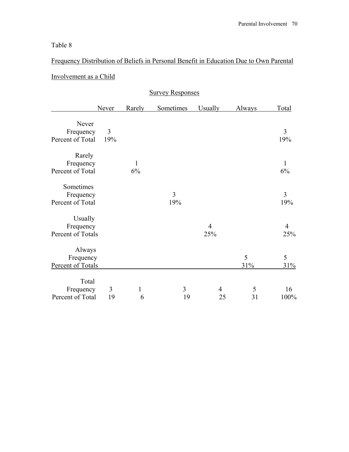# Frequency Distribution of Beliefs in Personal Benefit in Education Due to Own Parental Involvement as a Child

|                   | <b>Never</b> | Rarely | Sometimes      | <b>Usually</b> | Always | Total |
|-------------------|--------------|--------|----------------|----------------|--------|-------|
| Never             |              |        |                |                |        |       |
| Frequency         | 3            |        |                |                |        | 3     |
| Percent of Total  | 19%          |        |                |                |        | 19%   |
| Rarely            |              |        |                |                |        |       |
| Frequency         |              | 1      |                |                |        | 1     |
| Percent of Total  |              | 6%     |                |                |        | 6%    |
| Sometimes         |              |        |                |                |        |       |
| Frequency         |              |        | $\overline{3}$ |                |        | 3     |
| Percent of Total  |              |        | 19%            |                |        | 19%   |
| Usually           |              |        |                |                |        |       |
| Frequency         |              |        |                | 4              |        | 4     |
| Percent of Totals |              |        |                | 25%            |        | 25%   |
| Always            |              |        |                |                |        |       |
| Frequency         |              |        |                |                | 5      | 5     |
| Percent of Totals |              |        |                |                | 31%    | 31%   |
| Total             |              |        |                |                |        |       |
| Frequency         | 3            | 1      | 3              | 4              | 5      | 16    |
| Percent of Total  | 19           | 6      | 19             | 25             | 31     | 100%  |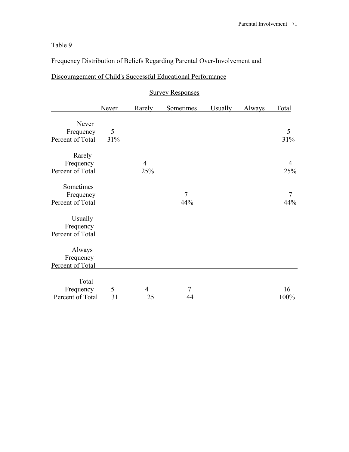Frequency Distribution of Beliefs Regarding Parental Over-Involvement and

# Discouragement of Child's Successful Educational Performance

|                                            | <b>Never</b> | Rarely                | Sometimes             | <b>Usually</b> | Always | Total                 |
|--------------------------------------------|--------------|-----------------------|-----------------------|----------------|--------|-----------------------|
| Never<br>Frequency<br>Percent of Total     | 5<br>31%     |                       |                       |                |        | 5<br>31%              |
| Rarely<br>Frequency<br>Percent of Total    |              | $\overline{4}$<br>25% |                       |                |        | $\overline{4}$<br>25% |
| Sometimes<br>Frequency<br>Percent of Total |              |                       | $\overline{7}$<br>44% |                |        | $\tau$<br>44%         |
| Usually<br>Frequency<br>Percent of Total   |              |                       |                       |                |        |                       |
| Always<br>Frequency<br>Percent of Total    |              |                       |                       |                |        |                       |
| Total<br>Frequency<br>Percent of Total     | 5<br>31      | 4<br>25               | 7<br>44               |                |        | 16<br>100%            |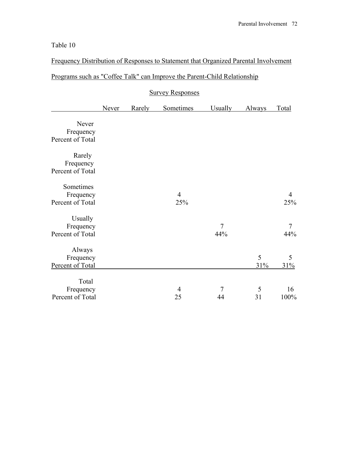Frequency Distribution of Responses to Statement that Organized Parental Involvement

# Programs such as "Coffee Talk" can Improve the Parent-Child Relationship

# Survey Responses Never Rarely Sometimes Usually Always Total Never Frequency Percent of Total Rarely Frequency Percent of Total Sometimes Frequency 4 4 4 Percent of Total 25% 25% 25% Usually Frequency 7 7 7 7 Percent of Total 44% 44% 44% Always Frequency<br>
2nt of Total<br>
31% 31% 31% Percent of Total 31% 31% 31% Total Frequency 4 7 5 16<br>ent of Total 25 44 31 100% Percent of Total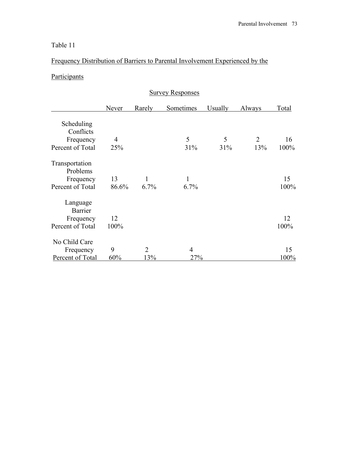## Table 11

## Frequency Distribution of Barriers to Parental Involvement Experienced by the

## **Participants**

| <b>Survey Responses</b> |       |        |           |                |        |       |
|-------------------------|-------|--------|-----------|----------------|--------|-------|
|                         | Never | Rarely | Sometimes | <b>Usually</b> | Always | Total |
| Scheduling              |       |        |           |                |        |       |
| Conflicts               |       |        |           |                |        |       |
| Frequency               | 4     |        | 5         | 5              | 2      | 16    |
| Percent of Total        | 25%   |        | 31%       | 31%            | 13%    | 100%  |
| Transportation          |       |        |           |                |        |       |
| Problems                |       |        |           |                |        |       |
| Frequency               | 13    | 1      | 1         |                |        | 15    |
| Percent of Total        | 86.6% | 6.7%   | 6.7%      |                |        | 100%  |
| Language                |       |        |           |                |        |       |
| Barrier                 |       |        |           |                |        |       |
| Frequency               | 12    |        |           |                |        | 12    |
| Percent of Total        | 100%  |        |           |                |        | 100%  |
| No Child Care           |       |        |           |                |        |       |
| Frequency               | 9     | 2      | 4         |                |        | 15    |
| Percent of Total        | 60%   | 13%    | 27%       |                |        | 100%  |